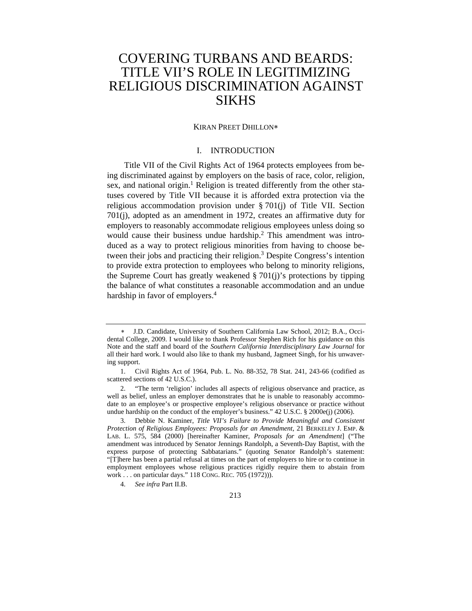# COVERING TURBANS AND BEARDS: TITLE VII'S ROLE IN LEGITIMIZING RELIGIOUS DISCRIMINATION AGAINST SIKHS

#### KIRAN PREET DHILLON∗

#### I. INTRODUCTION

Title VII of the Civil Rights Act of 1964 protects employees from being discriminated against by employers on the basis of race, color, religion, sex, and national origin.<sup>1</sup> Religion is treated differently from the other statuses covered by Title VII because it is afforded extra protection via the religious accommodation provision under § 701(j) of Title VII. Section 701(j), adopted as an amendment in 1972, creates an affirmative duty for employers to reasonably accommodate religious employees unless doing so would cause their business undue hardship.<sup>2</sup> This amendment was introduced as a way to protect religious minorities from having to choose between their jobs and practicing their religion.<sup>3</sup> Despite Congress's intention to provide extra protection to employees who belong to minority religions, the Supreme Court has greatly weakened § 701(j)'s protections by tipping the balance of what constitutes a reasonable accommodation and an undue hardship in favor of employers.<sup>4</sup>

J.D. Candidate, University of Southern California Law School, 2012; B.A., Occidental College, 2009. I would like to thank Professor Stephen Rich for his guidance on this Note and the staff and board of the *Southern California Interdisciplinary Law Journal* for all their hard work. I would also like to thank my husband, Jagmeet Singh, for his unwavering support.

 <sup>1.</sup> Civil Rights Act of 1964, Pub. L. No. 88-352, 78 Stat. 241, 243-66 (codified as scattered sections of 42 U.S.C.).

 <sup>2. &</sup>quot;The term 'religion' includes all aspects of religious observance and practice, as well as belief, unless an employer demonstrates that he is unable to reasonably accommodate to an employee's or prospective employee's religious observance or practice without undue hardship on the conduct of the employer's business." 42 U.S.C. § 2000e(j) (2006).

 <sup>3.</sup> Debbie N. Kaminer, *Title VII's Failure to Provide Meaningful and Consistent Protection of Religious Employees: Proposals for an Amendment*, 21 BERKELEY J. EMP. & LAB. L. 575, 584 (2000) [hereinafter Kaminer, *Proposals for an Amendment*] ("The amendment was introduced by Senator Jennings Randolph, a Seventh-Day Baptist, with the express purpose of protecting Sabbatarians." (quoting Senator Randolph's statement: "[T]here has been a partial refusal at times on the part of employers to hire or to continue in employment employees whose religious practices rigidly require them to abstain from work . . . on particular days." 118 CONG. REC. 705 (1972))).

 <sup>4.</sup> *See infra* Part II.B.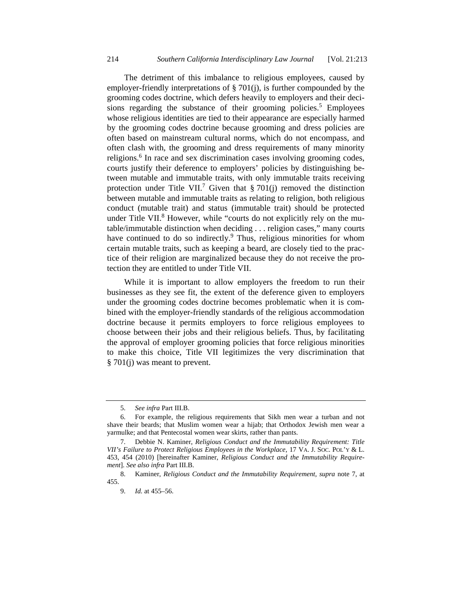The detriment of this imbalance to religious employees, caused by employer-friendly interpretations of § 701(j), is further compounded by the grooming codes doctrine, which defers heavily to employers and their decisions regarding the substance of their grooming policies.<sup>5</sup> Employees whose religious identities are tied to their appearance are especially harmed by the grooming codes doctrine because grooming and dress policies are often based on mainstream cultural norms, which do not encompass, and often clash with, the grooming and dress requirements of many minority religions.<sup>6</sup> In race and sex discrimination cases involving grooming codes, courts justify their deference to employers' policies by distinguishing between mutable and immutable traits, with only immutable traits receiving protection under Title VII.<sup>7</sup> Given that § 701(j) removed the distinction between mutable and immutable traits as relating to religion, both religious conduct (mutable trait) and status (immutable trait) should be protected under Title VII.<sup>8</sup> However, while "courts do not explicitly rely on the mutable/immutable distinction when deciding . . . religion cases," many courts have continued to do so indirectly.<sup>9</sup> Thus, religious minorities for whom certain mutable traits, such as keeping a beard, are closely tied to the practice of their religion are marginalized because they do not receive the protection they are entitled to under Title VII.

While it is important to allow employers the freedom to run their businesses as they see fit, the extent of the deference given to employers under the grooming codes doctrine becomes problematic when it is combined with the employer-friendly standards of the religious accommodation doctrine because it permits employers to force religious employees to choose between their jobs and their religious beliefs. Thus, by facilitating the approval of employer grooming policies that force religious minorities to make this choice, Title VII legitimizes the very discrimination that § 701(j) was meant to prevent.

 <sup>5.</sup> *See infra* Part III.B.

 <sup>6.</sup> For example, the religious requirements that Sikh men wear a turban and not shave their beards; that Muslim women wear a hijab; that Orthodox Jewish men wear a yarmulke; and that Pentecostal women wear skirts, rather than pants.

 <sup>7.</sup> Debbie N. Kaminer, *Religious Conduct and the Immutability Requirement: Title VII's Failure to Protect Religious Employees in the Workplace*, 17 VA. J. SOC. POL'Y & L. 453, 454 (2010) [hereinafter Kaminer, *Religious Conduct and the Immutability Requirement*]. *See also infra* Part III.B.

 <sup>8.</sup> Kaminer, *Religious Conduct and the Immutability Requirement*, *supra* note 7, at 455.

 <sup>9.</sup> *Id.* at 455–56.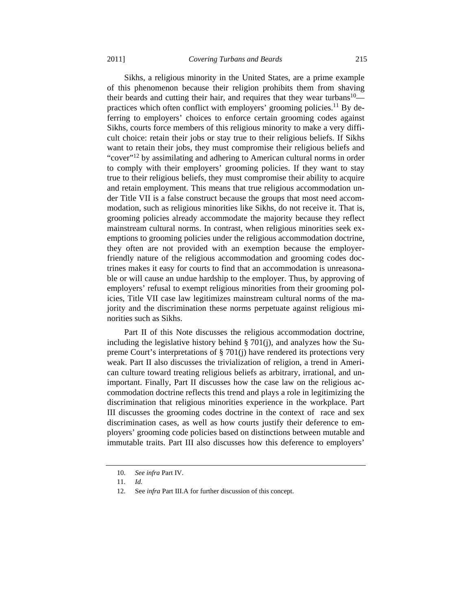Sikhs, a religious minority in the United States, are a prime example of this phenomenon because their religion prohibits them from shaving their beards and cutting their hair, and requires that they wear turbans $10$  practices which often conflict with employers' grooming policies.<sup>11</sup> By deferring to employers' choices to enforce certain grooming codes against Sikhs, courts force members of this religious minority to make a very difficult choice: retain their jobs or stay true to their religious beliefs. If Sikhs want to retain their jobs, they must compromise their religious beliefs and "cover"<sup>12</sup> by assimilating and adhering to American cultural norms in order to comply with their employers' grooming policies. If they want to stay true to their religious beliefs, they must compromise their ability to acquire and retain employment. This means that true religious accommodation under Title VII is a false construct because the groups that most need accommodation, such as religious minorities like Sikhs, do not receive it. That is, grooming policies already accommodate the majority because they reflect mainstream cultural norms. In contrast, when religious minorities seek exemptions to grooming policies under the religious accommodation doctrine, they often are not provided with an exemption because the employerfriendly nature of the religious accommodation and grooming codes doctrines makes it easy for courts to find that an accommodation is unreasonable or will cause an undue hardship to the employer. Thus, by approving of employers' refusal to exempt religious minorities from their grooming policies, Title VII case law legitimizes mainstream cultural norms of the majority and the discrimination these norms perpetuate against religious minorities such as Sikhs.

Part II of this Note discusses the religious accommodation doctrine, including the legislative history behind § 701(j), and analyzes how the Supreme Court's interpretations of § 701(j) have rendered its protections very weak. Part II also discusses the trivialization of religion, a trend in American culture toward treating religious beliefs as arbitrary, irrational, and unimportant. Finally, Part II discusses how the case law on the religious accommodation doctrine reflects this trend and plays a role in legitimizing the discrimination that religious minorities experience in the workplace. Part III discusses the grooming codes doctrine in the context of race and sex discrimination cases, as well as how courts justify their deference to employers' grooming code policies based on distinctions between mutable and immutable traits. Part III also discusses how this deference to employers'

 <sup>10.</sup> *See infra* Part IV.

 <sup>11.</sup> *Id.*

 <sup>12.</sup> See *infra* Part III.A for further discussion of this concept.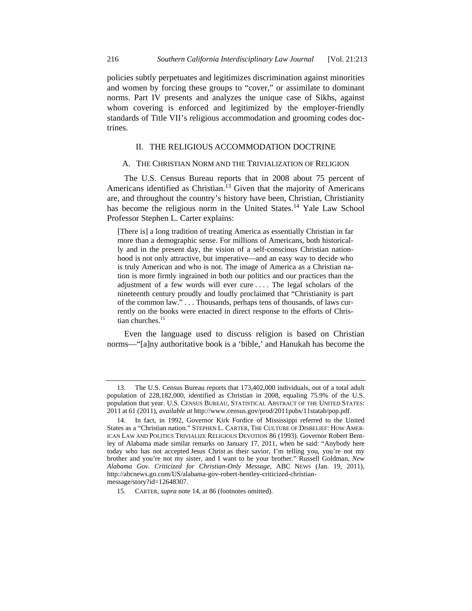policies subtly perpetuates and legitimizes discrimination against minorities and women by forcing these groups to "cover," or assimilate to dominant norms. Part IV presents and analyzes the unique case of Sikhs, against whom covering is enforced and legitimized by the employer-friendly standards of Title VII's religious accommodation and grooming codes doctrines.

## II. THE RELIGIOUS ACCOMMODATION DOCTRINE

#### A. THE CHRISTIAN NORM AND THE TRIVIALIZATION OF RELIGION

The U.S. Census Bureau reports that in 2008 about 75 percent of Americans identified as Christian.<sup>13</sup> Given that the majority of Americans are, and throughout the country's history have been, Christian, Christianity has become the religious norm in the United States.<sup>14</sup> Yale Law School Professor Stephen L. Carter explains:

[There is] a long tradition of treating America as essentially Christian in far more than a demographic sense. For millions of Americans, both historically and in the present day, the vision of a self-conscious Christian nationhood is not only attractive, but imperative—and an easy way to decide who is truly American and who is not. The image of America as a Christian nation is more firmly ingrained in both our politics and our practices than the adjustment of a few words will ever cure . . . . The legal scholars of the nineteenth century proudly and loudly proclaimed that "Christianity is part of the common law." . . . Thousands, perhaps tens of thousands, of laws currently on the books were enacted in direct response to the efforts of Christian churches.<sup>15</sup>

Even the language used to discuss religion is based on Christian norms—"[a]ny authoritative book is a 'bible,' and Hanukah has become the

 <sup>13.</sup> The U.S. Census Bureau reports that 173,402,000 individuals, out of a total adult population of 228,182,000, identified as Christian in 2008, equaling 75.9% of the U.S. population that year. U.S. CENSUS BUREAU, STATISTICAL ABSTRACT OF THE UNITED STATES: 2011 at 61 (2011), *available at* http://www.census.gov/prod/2011pubs/11statab/pop.pdf.

 <sup>14.</sup> In fact, in 1992, Governor Kirk Fordice of Mississippi referred to the United States as a "Christian nation." STEPHEN L. CARTER, THE CULTURE OF DISBELIEF: HOW AMER-ICAN LAW AND POLITICS TRIVIALIZE RELIGIOUS DEVOTION 86 (1993). Governor Robert Bentley of Alabama made similar remarks on January 17, 2011, when he said: "Anybody here today who has not accepted Jesus Christ as their savior, I'm telling you, you're not my brother and you're not my sister, and I want to be your brother." Russell Goldman, *New Alabama Gov. Criticized for Christian-Only Message*, ABC NEWS (Jan. 19, 2011), http://abcnews.go.com/US/alabama-gov-robert-bentley-criticized-christianmessage/story?id=12648307.

 <sup>15.</sup> CARTER, *supra* note 14, at 86 (footnotes omitted).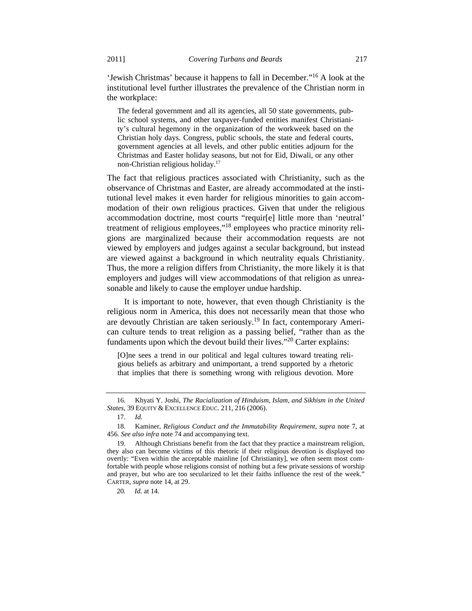'Jewish Christmas' because it happens to fall in December."16 A look at the institutional level further illustrates the prevalence of the Christian norm in the workplace:

The federal government and all its agencies, all 50 state governments, public school systems, and other taxpayer-funded entities manifest Christianity's cultural hegemony in the organization of the workweek based on the Christian holy days. Congress, public schools, the state and federal courts, government agencies at all levels, and other public entities adjourn for the Christmas and Easter holiday seasons, but not for Eid, Diwali, or any other non-Christian religious holiday.17

The fact that religious practices associated with Christianity, such as the observance of Christmas and Easter, are already accommodated at the institutional level makes it even harder for religious minorities to gain accommodation of their own religious practices. Given that under the religious accommodation doctrine, most courts "requir[e] little more than 'neutral' treatment of religious employees,"18 employees who practice minority religions are marginalized because their accommodation requests are not viewed by employers and judges against a secular background, but instead are viewed against a background in which neutrality equals Christianity. Thus, the more a religion differs from Christianity, the more likely it is that employers and judges will view accommodations of that religion as unreasonable and likely to cause the employer undue hardship.

It is important to note, however, that even though Christianity is the religious norm in America, this does not necessarily mean that those who are devoutly Christian are taken seriously.<sup>19</sup> In fact, contemporary American culture tends to treat religion as a passing belief, "rather than as the fundaments upon which the devout build their lives."<sup>20</sup> Carter explains:

[O]ne sees a trend in our political and legal cultures toward treating religious beliefs as arbitrary and unimportant, a trend supported by a rhetoric that implies that there is something wrong with religious devotion. More

20*. Id.* at 14.

 <sup>16.</sup> Khyati Y. Joshi, *The Racialization of Hinduism, Islam, and Sikhism in the United States*, 39 EQUITY & EXCELLENCE EDUC. 211, 216 (2006).

 <sup>17.</sup> *Id.*

 <sup>18.</sup> Kaminer, *Religious Conduct and the Immutability Requirement*, *supra* note 7, at 456. *See also infra* note 74 and accompanying text.

 <sup>19.</sup> Although Christians benefit from the fact that they practice a mainstream religion, they also can become victims of this rhetoric if their religious devotion is displayed too overtly: "Even within the acceptable mainline [of Christianity], we often seem most comfortable with people whose religions consist of nothing but a few private sessions of worship and prayer, but who are too secularized to let their faiths influence the rest of the week." CARTER, *supra* note 14, at 29.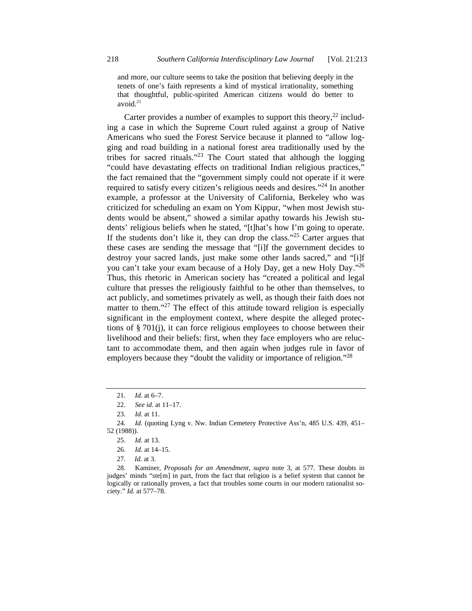and more, our culture seems to take the position that believing deeply in the tenets of one's faith represents a kind of mystical irrationality, something that thoughtful, public-spirited American citizens would do better to avoid. $21$ 

Carter provides a number of examples to support this theory, $^{22}$  including a case in which the Supreme Court ruled against a group of Native Americans who sued the Forest Service because it planned to "allow logging and road building in a national forest area traditionally used by the tribes for sacred rituals."23 The Court stated that although the logging "could have devastating effects on traditional Indian religious practices," the fact remained that the "government simply could not operate if it were required to satisfy every citizen's religious needs and desires."24 In another example, a professor at the University of California, Berkeley who was criticized for scheduling an exam on Yom Kippur, "when most Jewish students would be absent," showed a similar apathy towards his Jewish students' religious beliefs when he stated, "[t]hat's how I'm going to operate. If the students don't like it, they can drop the class."<sup>25</sup> Carter argues that these cases are sending the message that "[i]f the government decides to destroy your sacred lands, just make some other lands sacred," and "[i]f you can't take your exam because of a Holy Day, get a new Holy Day."26 Thus, this rhetoric in American society has "created a political and legal culture that presses the religiously faithful to be other than themselves, to act publicly, and sometimes privately as well, as though their faith does not matter to them."<sup>27</sup> The effect of this attitude toward religion is especially significant in the employment context, where despite the alleged protections of § 701(j), it can force religious employees to choose between their livelihood and their beliefs: first, when they face employers who are reluctant to accommodate them, and then again when judges rule in favor of employers because they "doubt the validity or importance of religion."<sup>28</sup>

<sup>21</sup>*. Id.* at 6–7.

 <sup>22.</sup> *See id.* at 11–17.

 <sup>23.</sup> *Id.* at 11.

<sup>24</sup>*. Id.* (quoting Lyng v. Nw. Indian Cemetery Protective Ass'n, 485 U.S. 439, 451– 52 (1988)).

 <sup>25.</sup> *Id.* at 13.

 <sup>26.</sup> *Id.* at 14–15.

 <sup>27.</sup> *Id.* at 3.

 <sup>28.</sup> Kaminer, *Proposals for an Amendment*, *supra* note 3, at 577. These doubts in judges' minds "ste[m] in part, from the fact that religion is a belief system that cannot be logically or rationally proven, a fact that troubles some courts in our modern rationalist society." *Id.* at 577–78.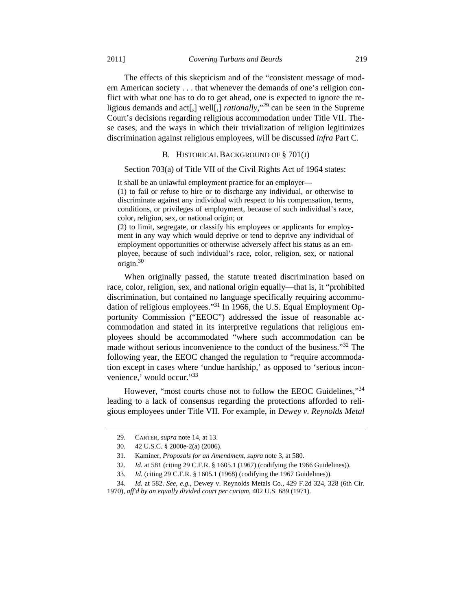The effects of this skepticism and of the "consistent message of modern American society . . . that whenever the demands of one's religion conflict with what one has to do to get ahead, one is expected to ignore the religious demands and act[,] well[,] *rationally*,"29 can be seen in the Supreme Court's decisions regarding religious accommodation under Title VII. These cases, and the ways in which their trivialization of religion legitimizes discrimination against religious employees, will be discussed *infra* Part C.

## B. HISTORICAL BACKGROUND OF § 701(J)

#### Section 703(a) of Title VII of the Civil Rights Act of 1964 states:

It shall be an unlawful employment practice for an employer**—** (1) to fail or refuse to hire or to discharge any individual, or otherwise to discriminate against any individual with respect to his compensation, terms, conditions, or privileges of employment, because of such individual's race, color, religion, sex, or national origin; or

(2) to limit, segregate, or classify his employees or applicants for employment in any way which would deprive or tend to deprive any individual of employment opportunities or otherwise adversely affect his status as an employee, because of such individual's race, color, religion, sex, or national origin.30

When originally passed, the statute treated discrimination based on race, color, religion, sex, and national origin equally—that is, it "prohibited discrimination, but contained no language specifically requiring accommodation of religious employees."31 In 1966, the U.S. Equal Employment Opportunity Commission ("EEOC") addressed the issue of reasonable accommodation and stated in its interpretive regulations that religious employees should be accommodated "where such accommodation can be made without serious inconvenience to the conduct of the business."<sup>32</sup> The following year, the EEOC changed the regulation to "require accommodation except in cases where 'undue hardship,' as opposed to 'serious inconvenience,' would occur."33

However, "most courts chose not to follow the EEOC Guidelines."<sup>34</sup> leading to a lack of consensus regarding the protections afforded to religious employees under Title VII. For example, in *Dewey v. Reynolds Metal* 

 <sup>29.</sup> CARTER, *supra* note 14, at 13.

 <sup>30. 42</sup> U.S.C. § 2000e-2(a) (2006).

 <sup>31.</sup> Kaminer, *Proposals for an Amendment*, *supra* note 3, at 580.

 <sup>32.</sup> *Id.* at 581 (citing 29 C.F.R. § 1605.1 (1967) (codifying the 1966 Guidelines)).

<sup>33</sup>*. Id.* (citing 29 C.F.R. § 1605.1 (1968) (codifying the 1967 Guidelines)).

 <sup>34.</sup> *Id.* at 582. *See, e.g.*, Dewey v. Reynolds Metals Co., 429 F.2d 324, 328 (6th Cir. 1970), *aff'd by an equally divided court per curiam*, 402 U.S. 689 (1971).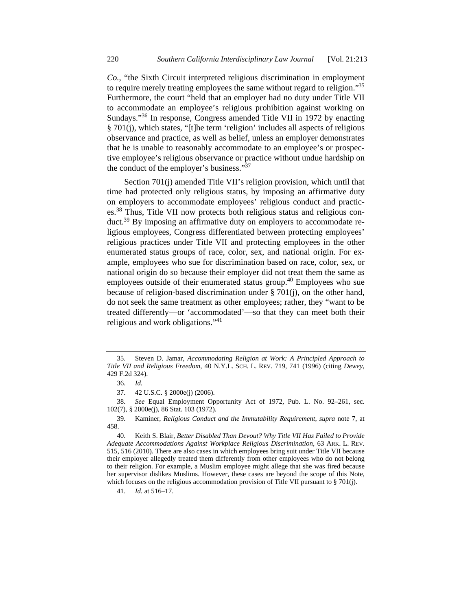*Co.*, "the Sixth Circuit interpreted religious discrimination in employment to require merely treating employees the same without regard to religion."<sup>35</sup> Furthermore, the court "held that an employer had no duty under Title VII to accommodate an employee's religious prohibition against working on Sundays."36 In response, Congress amended Title VII in 1972 by enacting § 701(j), which states, "[t]he term 'religion' includes all aspects of religious observance and practice, as well as belief, unless an employer demonstrates that he is unable to reasonably accommodate to an employee's or prospective employee's religious observance or practice without undue hardship on the conduct of the employer's business."37

Section 701(j) amended Title VII's religion provision, which until that time had protected only religious status, by imposing an affirmative duty on employers to accommodate employees' religious conduct and practices.38 Thus, Title VII now protects both religious status and religious conduct.39 By imposing an affirmative duty on employers to accommodate religious employees, Congress differentiated between protecting employees' religious practices under Title VII and protecting employees in the other enumerated status groups of race, color, sex, and national origin. For example, employees who sue for discrimination based on race, color, sex, or national origin do so because their employer did not treat them the same as employees outside of their enumerated status group.<sup>40</sup> Employees who sue because of religion-based discrimination under § 701(j), on the other hand, do not seek the same treatment as other employees; rather, they "want to be treated differently—or 'accommodated'—so that they can meet both their religious and work obligations."41

 <sup>35.</sup> Steven D. Jamar, *Accommodating Religion at Work: A Principled Approach to Title VII and Religious Freedom*, 40 N.Y.L. SCH. L. REV. 719, 741 (1996) (citing *Dewey*, 429 F.2d 324).

 <sup>36.</sup> *Id.*

 <sup>37. 42</sup> U.S.C. § 2000e(j) (2006).

 <sup>38.</sup> *See* Equal Employment Opportunity Act of 1972, Pub. L. No. 92–261, sec. 102(7), § 2000e(j), 86 Stat. 103 (1972).

 <sup>39.</sup> Kaminer, *Religious Conduct and the Immutability Requirement*, *supra* note 7, at 458.

 <sup>40.</sup> Keith S. Blair, *Better Disabled Than Devout? Why Title VII Has Failed to Provide Adequate Accommodations Against Workplace Religious Discrimination*, 63 ARK. L. REV. 515, 516 (2010). There are also cases in which employees bring suit under Title VII because their employer allegedly treated them differently from other employees who do not belong to their religion. For example, a Muslim employee might allege that she was fired because her supervisor dislikes Muslims. However, these cases are beyond the scope of this Note, which focuses on the religious accommodation provision of Title VII pursuant to § 701(j).

 <sup>41.</sup> *Id.* at 516–17.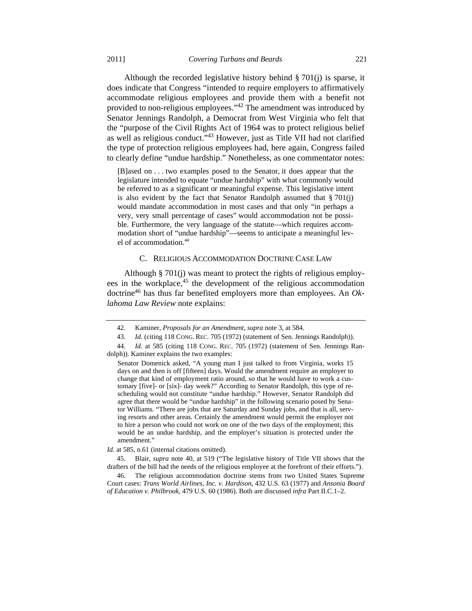Although the recorded legislative history behind  $\S$  701(j) is sparse, it does indicate that Congress "intended to require employers to affirmatively accommodate religious employees and provide them with a benefit not provided to non-religious employees."<sup>42</sup> The amendment was introduced by Senator Jennings Randolph, a Democrat from West Virginia who felt that the "purpose of the Civil Rights Act of 1964 was to protect religious belief as well as religious conduct."43 However, just as Title VII had not clarified the type of protection religious employees had, here again, Congress failed to clearly define "undue hardship." Nonetheless, as one commentator notes:

[B]ased on . . . two examples posed to the Senator, it does appear that the legislature intended to equate "undue hardship" with what commonly would be referred to as a significant or meaningful expense. This legislative intent is also evident by the fact that Senator Randolph assumed that  $\S 701(j)$ would mandate accommodation in most cases and that only "in perhaps a very, very small percentage of cases" would accommodation not be possible. Furthermore, the very language of the statute—which requires accommodation short of "undue hardship"—seems to anticipate a meaningful level of accommodation.<sup>44</sup>

### C. RELIGIOUS ACCOMMODATION DOCTRINE CASE LAW

Although § 701(j) was meant to protect the rights of religious employees in the workplace,<sup>45</sup> the development of the religious accommodation doctrine46 has thus far benefited employers more than employees. An *Oklahoma Law Review* note explains:

 <sup>42.</sup> Kaminer, *Proposals for an Amendment*, *supra* note 3, at 584.

 <sup>43.</sup> *Id.* (citing 118 CONG. REC. 705 (1972) (statement of Sen. Jennings Randolph)).

 <sup>44.</sup> *Id.* at 585 (citing 118 CONG. REC. 705 (1972) (statement of Sen. Jennings Randolph)). Kaminer explains the two examples:

Senator Domenick asked, "A young man I just talked to from Virginia, works 15 days on and then is off [fifteen] days. Would the amendment require an employer to change that kind of employment ratio around, so that he would have to work a customary [five]- or [six]- day week?" According to Senator Randolph, this type of rescheduling would not constitute "undue hardship." However, Senator Randolph did agree that there would be "undue hardship" in the following scenario posed by Senator Williams. "There are jobs that are Saturday and Sunday jobs, and that is all, serving resorts and other areas. Certainly the amendment would permit the employer not to hire a person who could not work on one of the two days of the employment; this would be an undue hardship, and the employer's situation is protected under the amendment."

*Id.* at 585, n.61 (internal citations omitted).

 <sup>45.</sup> Blair, *supra* note 40, at 519 ("The legislative history of Title VII shows that the drafters of the bill had the needs of the religious employee at the forefront of their efforts.").

 <sup>46.</sup> The religious accommodation doctrine stems from two United States Supreme Court cases: *Trans World Airlines, Inc. v. Hardison*, 432 U.S. 63 (1977) and *Ansonia Board of Education v. Philbrook*, 479 U.S. 60 (1986). Both are discussed *infra* Part II.C.1–2.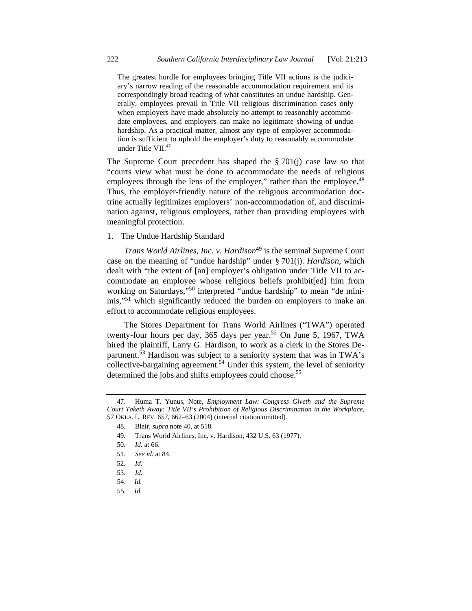The greatest hurdle for employees bringing Title VII actions is the judiciary's narrow reading of the reasonable accommodation requirement and its correspondingly broad reading of what constitutes an undue hardship. Generally, employees prevail in Title VII religious discrimination cases only when employers have made absolutely no attempt to reasonably accommodate employees, and employers can make no legitimate showing of undue hardship. As a practical matter, almost any type of employer accommodation is sufficient to uphold the employer's duty to reasonably accommodate under Title VII.47

The Supreme Court precedent has shaped the  $\S 701(i)$  case law so that "courts view what must be done to accommodate the needs of religious employees through the lens of the employer," rather than the employee.<sup>48</sup> Thus, the employer-friendly nature of the religious accommodation doctrine actually legitimizes employers' non-accommodation of, and discrimination against, religious employees, rather than providing employees with meaningful protection.

1. The Undue Hardship Standard

*Trans World Airlines, Inc. v. Hardison*<sup>49</sup> is the seminal Supreme Court case on the meaning of "undue hardship" under § 701(j). *Hardison*, which dealt with "the extent of [an] employer's obligation under Title VII to accommodate an employee whose religious beliefs prohibit[ed] him from working on Saturdays,"<sup>50</sup> interpreted "undue hardship" to mean "de minimis,"51 which significantly reduced the burden on employers to make an effort to accommodate religious employees.

The Stores Department for Trans World Airlines ("TWA") operated twenty-four hours per day, 365 days per year.<sup>52</sup> On June 5, 1967, TWA hired the plaintiff, Larry G. Hardison, to work as a clerk in the Stores Department. $\frac{53}{3}$  Hardison was subject to a seniority system that was in TWA's collective-bargaining agreement.<sup>54</sup> Under this system, the level of seniority determined the jobs and shifts employees could choose.<sup>55</sup>

 <sup>47.</sup> Huma T. Yunus, Note, *Employment Law: Congress Giveth and the Supreme Court Taketh Away: Title VII's Prohibition of Religious Discrimination in the Workplace*, 57 OKLA. L. REV. 657, 662–63 (2004) (internal citation omitted).

 <sup>48.</sup> Blair, *supra* note 40, at 518.

 <sup>49.</sup> Trans World Airlines, Inc. v. Hardison, 432 U.S. 63 (1977).

 <sup>50.</sup> *Id.* at 66.

 <sup>51.</sup> *See id.* at 84.

 <sup>52.</sup> *Id.*

 <sup>53.</sup> *Id.*

<sup>54.</sup> *Id.*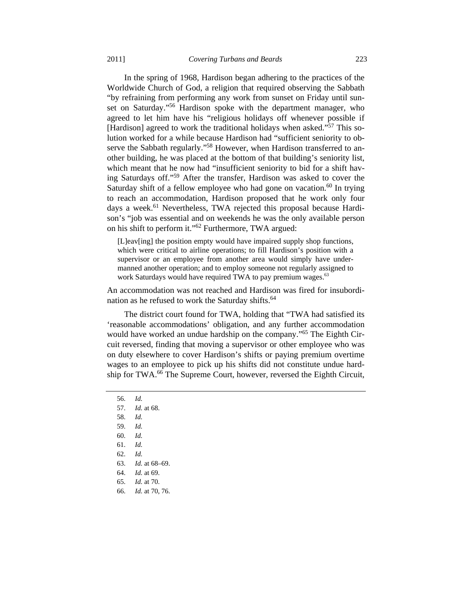In the spring of 1968, Hardison began adhering to the practices of the Worldwide Church of God, a religion that required observing the Sabbath "by refraining from performing any work from sunset on Friday until sunset on Saturday."<sup>56</sup> Hardison spoke with the department manager, who agreed to let him have his "religious holidays off whenever possible if [Hardison] agreed to work the traditional holidays when asked."<sup>57</sup> This solution worked for a while because Hardison had "sufficient seniority to observe the Sabbath regularly."<sup>58</sup> However, when Hardison transferred to another building, he was placed at the bottom of that building's seniority list, which meant that he now had "insufficient seniority to bid for a shift having Saturdays off."59 After the transfer, Hardison was asked to cover the Saturday shift of a fellow employee who had gone on vacation.<sup>60</sup> In trying to reach an accommodation, Hardison proposed that he work only four days a week.<sup>61</sup> Nevertheless, TWA rejected this proposal because Hardison's "job was essential and on weekends he was the only available person on his shift to perform it."62 Furthermore, TWA argued:

[L]eav[ing] the position empty would have impaired supply shop functions, which were critical to airline operations; to fill Hardison's position with a supervisor or an employee from another area would simply have undermanned another operation; and to employ someone not regularly assigned to work Saturdays would have required TWA to pay premium wages.<sup>63</sup>

An accommodation was not reached and Hardison was fired for insubordination as he refused to work the Saturday shifts.<sup>64</sup>

The district court found for TWA, holding that "TWA had satisfied its 'reasonable accommodations' obligation, and any further accommodation would have worked an undue hardship on the company."<sup>65</sup> The Eighth Circuit reversed, finding that moving a supervisor or other employee who was on duty elsewhere to cover Hardison's shifts or paying premium overtime wages to an employee to pick up his shifts did not constitute undue hardship for TWA.66 The Supreme Court, however, reversed the Eighth Circuit,

- 57. *Id.* at 68.
- 58. *Id.*
- 59. *Id.*
- 60. *Id.*
- 61. *Id.*
- 62. *Id.*
- 63. *Id.* at 68–69.
- 64. *Id.* at 69.
- 65. *Id.* at 70.
- 66. *Id.* at 70, 76.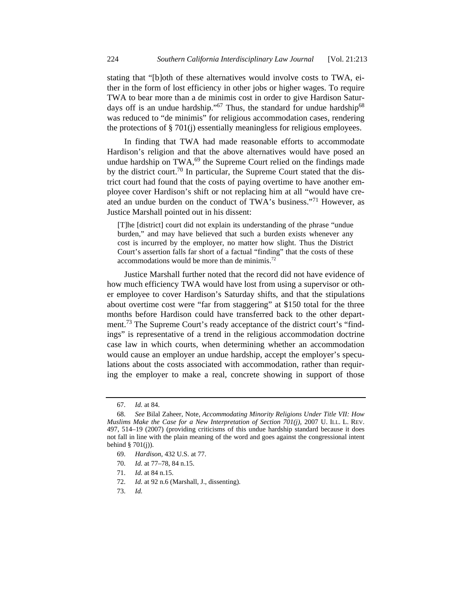stating that "[b]oth of these alternatives would involve costs to TWA, either in the form of lost efficiency in other jobs or higher wages. To require TWA to bear more than a de minimis cost in order to give Hardison Saturdays off is an undue hardship."<sup>67</sup> Thus, the standard for undue hardship<sup>68</sup> was reduced to "de minimis" for religious accommodation cases, rendering the protections of § 701(j) essentially meaningless for religious employees.

In finding that TWA had made reasonable efforts to accommodate Hardison's religion and that the above alternatives would have posed an undue hardship on  $TWA<sub>1</sub><sup>69</sup>$  the Supreme Court relied on the findings made by the district court.<sup>70</sup> In particular, the Supreme Court stated that the district court had found that the costs of paying overtime to have another employee cover Hardison's shift or not replacing him at all "would have created an undue burden on the conduct of TWA's business."<sup>71</sup> However, as Justice Marshall pointed out in his dissent:

[T]he [district] court did not explain its understanding of the phrase "undue burden," and may have believed that such a burden exists whenever any cost is incurred by the employer, no matter how slight. Thus the District Court's assertion falls far short of a factual "finding" that the costs of these accommodations would be more than de minimis.<sup>72</sup>

Justice Marshall further noted that the record did not have evidence of how much efficiency TWA would have lost from using a supervisor or other employee to cover Hardison's Saturday shifts, and that the stipulations about overtime cost were "far from staggering" at \$150 total for the three months before Hardison could have transferred back to the other department.<sup>73</sup> The Supreme Court's ready acceptance of the district court's "findings" is representative of a trend in the religious accommodation doctrine case law in which courts, when determining whether an accommodation would cause an employer an undue hardship, accept the employer's speculations about the costs associated with accommodation, rather than requiring the employer to make a real, concrete showing in support of those

71. *Id.* at 84 n.15.

 <sup>67.</sup> *Id.* at 84.

 <sup>68.</sup> *See* Bilal Zaheer, Note, *Accommodating Minority Religions Under Title VII: How Muslims Make the Case for a New Interpretation of Section 701(j)*, 2007 U. ILL. L. REV. 497, 514–19 (2007) (providing criticisms of this undue hardship standard because it does not fall in line with the plain meaning of the word and goes against the congressional intent behind  $\S$  701(j)).

 <sup>69.</sup> *Hardison*, 432 U.S. at 77.

 <sup>70.</sup> *Id.* at 77–78, 84 n.15.

 <sup>72.</sup> *Id.* at 92 n.6 (Marshall, J., dissenting).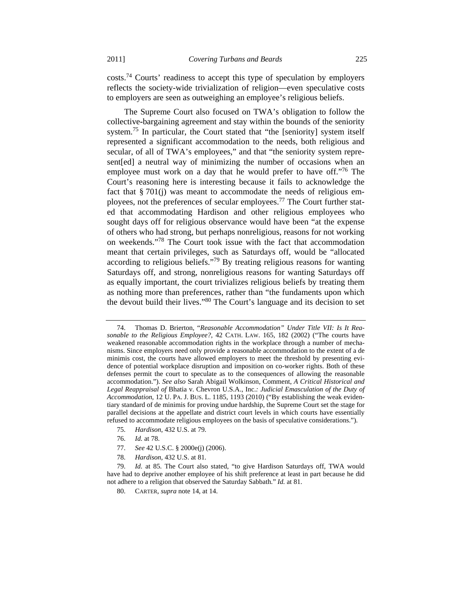costs.74 Courts' readiness to accept this type of speculation by employers reflects the society-wide trivialization of religion—even speculative costs to employers are seen as outweighing an employee's religious beliefs.

The Supreme Court also focused on TWA's obligation to follow the collective**-**bargaining agreement and stay within the bounds of the seniority system.<sup>75</sup> In particular, the Court stated that "the [seniority] system itself represented a significant accommodation to the needs, both religious and secular, of all of TWA's employees," and that "the seniority system represent[ed] a neutral way of minimizing the number of occasions when an employee must work on a day that he would prefer to have off."<sup>76</sup> The Court's reasoning here is interesting because it fails to acknowledge the fact that § 701(j) was meant to accommodate the needs of religious employees, not the preferences of secular employees.<sup>77</sup> The Court further stated that accommodating Hardison and other religious employees who sought days off for religious observance would have been "at the expense of others who had strong, but perhaps nonreligious, reasons for not working on weekends."78 The Court took issue with the fact that accommodation meant that certain privileges, such as Saturdays off, would be "allocated according to religious beliefs."<sup>79</sup> By treating religious reasons for wanting Saturdays off, and strong, nonreligious reasons for wanting Saturdays off as equally important, the court trivializes religious beliefs by treating them as nothing more than preferences, rather than "the fundaments upon which the devout build their lives."80 The Court's language and its decision to set

- 75. *Hardison*, 432 U.S. at 79.
- 76. *Id.* at 78.
- 77. *See* 42 U.S.C. § 2000e(j) (2006).
- 78. *Hardison*, 432 U.S. at 81.

 <sup>74.</sup> Thomas D. Brierton, "*Reasonable Accommodation" Under Title VII: Is It Reasonable to the Religious Employee?*, 42 CATH. LAW. 165, 182 (2002) ("The courts have weakened reasonable accommodation rights in the workplace through a number of mechanisms. Since employers need only provide a reasonable accommodation to the extent of a de minimis cost, the courts have allowed employers to meet the threshold by presenting evidence of potential workplace disruption and imposition on co-worker rights. Both of these defenses permit the court to speculate as to the consequences of allowing the reasonable accommodation."). *See also* Sarah Abigail Wolkinson, Comment, *A Critical Historical and Legal Reappraisal of* Bhatia v. Chevron U.S.A., Inc.*: Judicial Emasculation of the Duty of Accommodation*, 12 U. PA. J. BUS. L. 1185, 1193 (2010) ("By establishing the weak evidentiary standard of de minimis for proving undue hardship, the Supreme Court set the stage for parallel decisions at the appellate and district court levels in which courts have essentially refused to accommodate religious employees on the basis of speculative considerations.").

 <sup>79.</sup> *Id.* at 85. The Court also stated, "to give Hardison Saturdays off, TWA would have had to deprive another employee of his shift preference at least in part because he did not adhere to a religion that observed the Saturday Sabbath." *Id.* at 81.

 <sup>80.</sup> CARTER, *supra* note 14, at 14.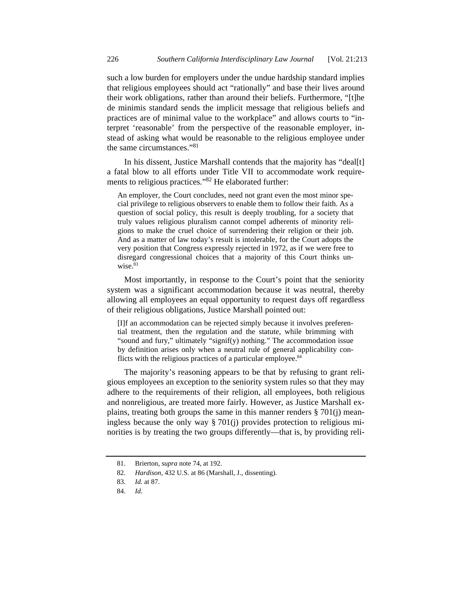such a low burden for employers under the undue hardship standard implies that religious employees should act "rationally" and base their lives around their work obligations, rather than around their beliefs. Furthermore, "[t]he de minimis standard sends the implicit message that religious beliefs and practices are of minimal value to the workplace" and allows courts to "interpret 'reasonable' from the perspective of the reasonable employer, instead of asking what would be reasonable to the religious employee under the same circumstances."<sup>81</sup>

In his dissent, Justice Marshall contends that the majority has "deal[t] a fatal blow to all efforts under Title VII to accommodate work requirements to religious practices."82 He elaborated further:

An employer, the Court concludes, need not grant even the most minor special privilege to religious observers to enable them to follow their faith. As a question of social policy, this result is deeply troubling, for a society that truly values religious pluralism cannot compel adherents of minority religions to make the cruel choice of surrendering their religion or their job. And as a matter of law today's result is intolerable, for the Court adopts the very position that Congress expressly rejected in 1972, as if we were free to disregard congressional choices that a majority of this Court thinks unwise.<sup>83</sup>

Most importantly, in response to the Court's point that the seniority system was a significant accommodation because it was neutral, thereby allowing all employees an equal opportunity to request days off regardless of their religious obligations, Justice Marshall pointed out:

[I]f an accommodation can be rejected simply because it involves preferential treatment, then the regulation and the statute, while brimming with "sound and fury," ultimately "signif(y) nothing." The accommodation issue by definition arises only when a neutral rule of general applicability conflicts with the religious practices of a particular employee.<sup>84</sup>

The majority's reasoning appears to be that by refusing to grant religious employees an exception to the seniority system rules so that they may adhere to the requirements of their religion, all employees, both religious and nonreligious, are treated more fairly. However, as Justice Marshall explains, treating both groups the same in this manner renders § 701(j) meaningless because the only way § 701(j) provides protection to religious minorities is by treating the two groups differently—that is, by providing reli-

 <sup>81.</sup> Brierton, *supra* note 74, at 192.

 <sup>82.</sup> *Hardison*, 432 U.S. at 86 (Marshall, J., dissenting).

 <sup>83.</sup> *Id.* at 87.

 <sup>84.</sup> *Id.*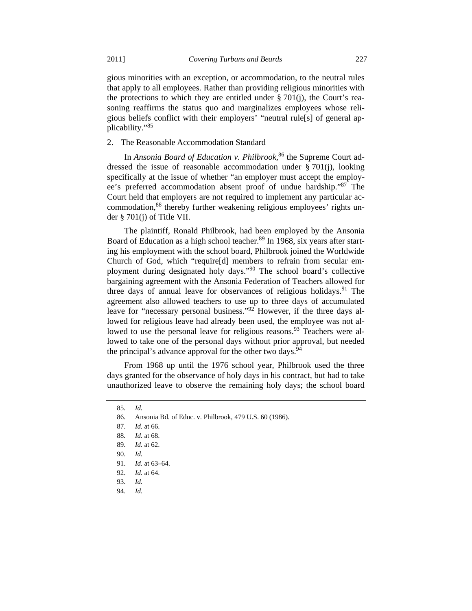gious minorities with an exception, or accommodation, to the neutral rules that apply to all employees. Rather than providing religious minorities with the protections to which they are entitled under  $\S 701(i)$ , the Court's reasoning reaffirms the status quo and marginalizes employees whose religious beliefs conflict with their employers' "neutral rule[s] of general applicability."85

2. The Reasonable Accommodation Standard

In *Ansonia Board of Education v. Philbrook*, 86 the Supreme Court addressed the issue of reasonable accommodation under § 701(j), looking specifically at the issue of whether "an employer must accept the employee's preferred accommodation absent proof of undue hardship."87 The Court held that employers are not required to implement any particular accommodation,<sup>88</sup> thereby further weakening religious employees' rights under § 701(j) of Title VII.

The plaintiff, Ronald Philbrook, had been employed by the Ansonia Board of Education as a high school teacher.<sup>89</sup> In 1968, six years after starting his employment with the school board, Philbrook joined the Worldwide Church of God, which "require[d] members to refrain from secular employment during designated holy days."90 The school board's collective bargaining agreement with the Ansonia Federation of Teachers allowed for three days of annual leave for observances of religious holidays.<sup>91</sup> The agreement also allowed teachers to use up to three days of accumulated leave for "necessary personal business."<sup>92</sup> However, if the three days allowed for religious leave had already been used, the employee was not allowed to use the personal leave for religious reasons.<sup>93</sup> Teachers were allowed to take one of the personal days without prior approval, but needed the principal's advance approval for the other two days.<sup>94</sup>

From 1968 up until the 1976 school year, Philbrook used the three days granted for the observance of holy days in his contract, but had to take unauthorized leave to observe the remaining holy days; the school board

 <sup>85.</sup> *Id.*

 <sup>86.</sup> Ansonia Bd. of Educ. v. Philbrook, 479 U.S. 60 (1986).

 <sup>87.</sup> *Id.* at 66.

<sup>88</sup>*. Id.* at 68.

 <sup>89.</sup> *Id.* at 62.

 <sup>90.</sup> *Id.*

 <sup>91.</sup> *Id.* at 63–64.

 <sup>92.</sup> *Id.* at 64.

 <sup>93.</sup> *Id.*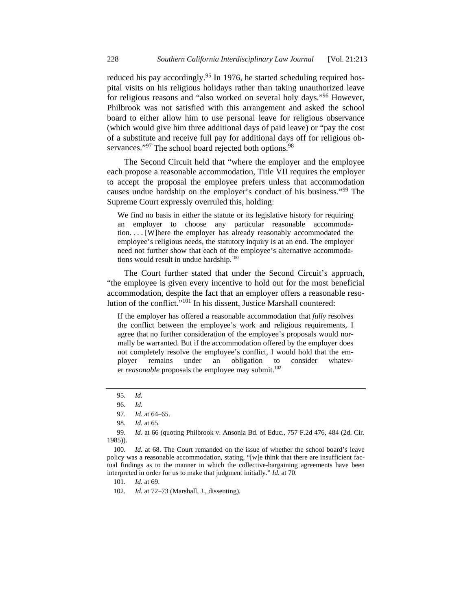reduced his pay accordingly.<sup>95</sup> In 1976, he started scheduling required hospital visits on his religious holidays rather than taking unauthorized leave for religious reasons and "also worked on several holy days."96 However, Philbrook was not satisfied with this arrangement and asked the school board to either allow him to use personal leave for religious observance (which would give him three additional days of paid leave) or "pay the cost of a substitute and receive full pay for additional days off for religious observances."<sup>97</sup> The school board rejected both options.<sup>98</sup>

The Second Circuit held that "where the employer and the employee each propose a reasonable accommodation, Title VII requires the employer to accept the proposal the employee prefers unless that accommodation causes undue hardship on the employer's conduct of his business."99 The Supreme Court expressly overruled this, holding:

We find no basis in either the statute or its legislative history for requiring an employer to choose any particular reasonable accommodation. . . . [W]here the employer has already reasonably accommodated the employee's religious needs, the statutory inquiry is at an end. The employer need not further show that each of the employee's alternative accommodations would result in undue hardship.<sup>100</sup>

The Court further stated that under the Second Circuit's approach, "the employee is given every incentive to hold out for the most beneficial accommodation, despite the fact that an employer offers a reasonable resolution of the conflict. $10^{101}$  In his dissent. Justice Marshall countered:

If the employer has offered a reasonable accommodation that *fully* resolves the conflict between the employee's work and religious requirements, I agree that no further consideration of the employee's proposals would normally be warranted. But if the accommodation offered by the employer does not completely resolve the employee's conflict, I would hold that the employer remains under an obligation to consider whatever *reasonable* proposals the employee may submit.<sup>102</sup>

 99. *Id.* at 66 (quoting Philbrook v. Ansonia Bd. of Educ., 757 F.2d 476, 484 (2d. Cir. 1985)).

 100. *Id.* at 68. The Court remanded on the issue of whether the school board's leave policy was a reasonable accommodation, stating, "[w]e think that there are insufficient factual findings as to the manner in which the collective-bargaining agreements have been interpreted in order for us to make that judgment initially." *Id.* at 70.

101. *Id.* at 69.

102. *Id.* at 72–73 (Marshall, J., dissenting).

 <sup>95.</sup> *Id.*

 <sup>96.</sup> *Id.*

 <sup>97.</sup> *Id.* at 64–65.

 <sup>98.</sup> *Id.* at 65.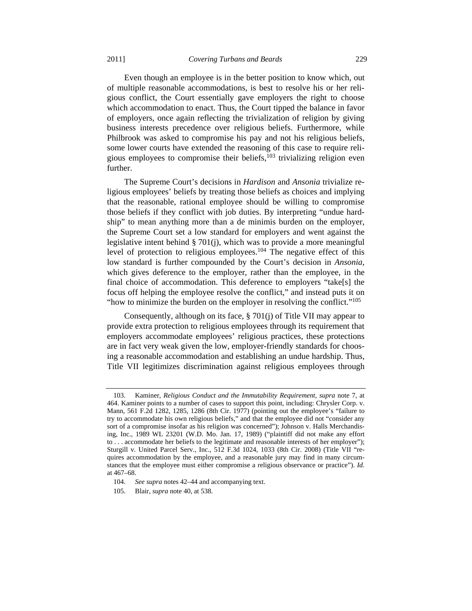Even though an employee is in the better position to know which, out of multiple reasonable accommodations, is best to resolve his or her religious conflict, the Court essentially gave employers the right to choose which accommodation to enact. Thus, the Court tipped the balance in favor of employers, once again reflecting the trivialization of religion by giving business interests precedence over religious beliefs. Furthermore, while Philbrook was asked to compromise his pay and not his religious beliefs, some lower courts have extended the reasoning of this case to require religious employees to compromise their beliefs, $^{103}$  trivializing religion even further.

The Supreme Court's decisions in *Hardison* and *Ansonia* trivialize religious employees' beliefs by treating those beliefs as choices and implying that the reasonable, rational employee should be willing to compromise those beliefs if they conflict with job duties. By interpreting "undue hardship" to mean anything more than a de minimis burden on the employer, the Supreme Court set a low standard for employers and went against the legislative intent behind § 701(j), which was to provide a more meaningful level of protection to religious employees.<sup>104</sup> The negative effect of this low standard is further compounded by the Court's decision in *Ansonia*, which gives deference to the employer, rather than the employee, in the final choice of accommodation. This deference to employers "take[s] the focus off helping the employee resolve the conflict," and instead puts it on "how to minimize the burden on the employer in resolving the conflict."105

Consequently, although on its face, § 701(j) of Title VII may appear to provide extra protection to religious employees through its requirement that employers accommodate employees' religious practices, these protections are in fact very weak given the low, employer-friendly standards for choosing a reasonable accommodation and establishing an undue hardship. Thus, Title VII legitimizes discrimination against religious employees through

 <sup>103.</sup> Kaminer, *Religious Conduct and the Immutability Requirement*, *supra* note 7, at 464. Kaminer points to a number of cases to support this point, including: Chrysler Corp. v. Mann, 561 F.2d 1282, 1285, 1286 (8th Cir. 1977) (pointing out the employee's "failure to try to accommodate his own religious beliefs," and that the employee did not "consider any sort of a compromise insofar as his religion was concerned"); Johnson v. Halls Merchandising, Inc., 1989 WL 23201 (W.D. Mo. Jan. 17, 1989) ("plaintiff did not make any effort to . . . accommodate her beliefs to the legitimate and reasonable interests of her employer"); Sturgill v. United Parcel Serv., Inc., 512 F.3d 1024, 1033 (8th Cir. 2008) (Title VII "requires accommodation by the employee, and a reasonable jury may find in many circumstances that the employee must either compromise a religious observance or practice"). *Id.*  at 467–68.

 <sup>104.</sup> *See supra* notes 42–44 and accompanying text.

 <sup>105.</sup> Blair, *supra* note 40, at 538.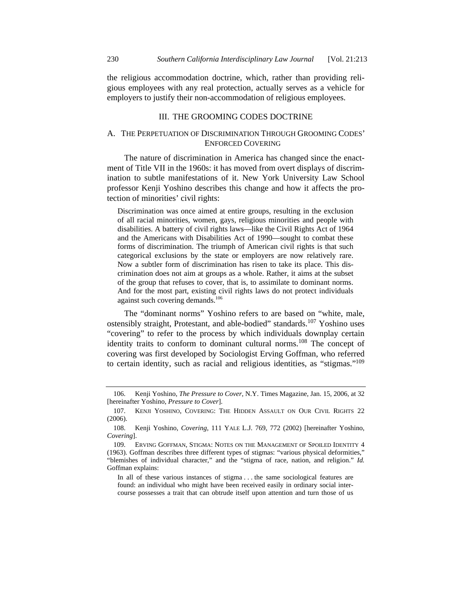the religious accommodation doctrine, which, rather than providing religious employees with any real protection, actually serves as a vehicle for employers to justify their non-accommodation of religious employees.

#### III. THE GROOMING CODES DOCTRINE

# A. THE PERPETUATION OF DISCRIMINATION THROUGH GROOMING CODES' ENFORCED COVERING

The nature of discrimination in America has changed since the enactment of Title VII in the 1960s: it has moved from overt displays of discrimination to subtle manifestations of it. New York University Law School professor Kenji Yoshino describes this change and how it affects the protection of minorities' civil rights:

Discrimination was once aimed at entire groups, resulting in the exclusion of all racial minorities, women, gays, religious minorities and people with disabilities. A battery of civil rights laws—like the Civil Rights Act of 1964 and the Americans with Disabilities Act of 1990—sought to combat these forms of discrimination. The triumph of American civil rights is that such categorical exclusions by the state or employers are now relatively rare. Now a subtler form of discrimination has risen to take its place. This discrimination does not aim at groups as a whole. Rather, it aims at the subset of the group that refuses to cover, that is, to assimilate to dominant norms. And for the most part, existing civil rights laws do not protect individuals against such covering demands.106

The "dominant norms" Yoshino refers to are based on "white, male, ostensibly straight, Protestant, and able-bodied" standards.<sup>107</sup> Yoshino uses "covering" to refer to the process by which individuals downplay certain identity traits to conform to dominant cultural norms.<sup>108</sup> The concept of covering was first developed by Sociologist Erving Goffman, who referred to certain identity, such as racial and religious identities, as "stigmas."109

 <sup>106.</sup> Kenji Yoshino, *The Pressure to Cover*, N.Y. Times Magazine, Jan. 15, 2006, at 32 [hereinafter Yoshino, *Pressure to Cover*].

 <sup>107.</sup> KENJI YOSHINO, COVERING: THE HIDDEN ASSAULT ON OUR CIVIL RIGHTS 22 (2006).

 <sup>108.</sup> Kenji Yoshino, *Covering*, 111 YALE L.J. 769, 772 (2002) [hereinafter Yoshino, *Covering*].

 <sup>109.</sup> ERVING GOFFMAN, STIGMA: NOTES ON THE MANAGEMENT OF SPOILED IDENTITY 4 (1963). Goffman describes three different types of stigmas: "various physical deformities," "blemishes of individual character," and the "stigma of race, nation, and religion." *Id.* Goffman explains:

In all of these various instances of stigma . . . the same sociological features are found: an individual who might have been received easily in ordinary social intercourse possesses a trait that can obtrude itself upon attention and turn those of us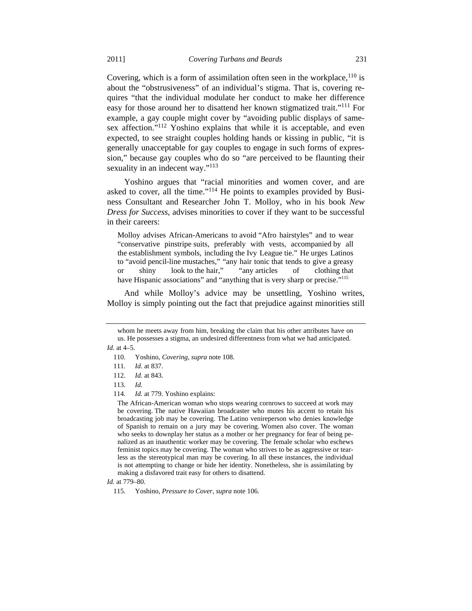Covering, which is a form of assimilation often seen in the workplace,  $110$  is about the "obstrusiveness" of an individual's stigma. That is, covering requires "that the individual modulate her conduct to make her difference easy for those around her to disattend her known stigmatized trait."111 For example, a gay couple might cover by "avoiding public displays of samesex affection."<sup>112</sup> Yoshino explains that while it is acceptable, and even expected, to see straight couples holding hands or kissing in public, "it is generally unacceptable for gay couples to engage in such forms of expression," because gay couples who do so "are perceived to be flaunting their sexuality in an indecent way."<sup>113</sup>

Yoshino argues that "racial minorities and women cover, and are asked to cover, all the time."114 He points to examples provided by Business Consultant and Researcher John T. Molloy, who in his book *New Dress for Success*, advises minorities to cover if they want to be successful in their careers:

Molloy advises African-Americans to avoid "Afro hairstyles" and to wear "conservative pinstripe suits, preferably with vests, accompanied by all the establishment symbols, including the Ivy League tie." He urges Latinos to "avoid pencil-line mustaches," "any hair tonic that tends to give a greasy or shiny look to the hair," "any articles of clothing that have Hispanic associations" and "anything that is very sharp or precise."<sup>115</sup>

And while Molloy's advice may be unsettling, Yoshino writes, Molloy is simply pointing out the fact that prejudice against minorities still

whom he meets away from him, breaking the claim that his other attributes have on us. He possesses a stigma, an undesired differentness from what we had anticipated.

*Id.* at 4–5.

 <sup>110.</sup> Yoshino, *Covering*, *supra* note 108.

<sup>111</sup>*. Id.* at 837.

 <sup>112.</sup> *Id.* at 843.

 <sup>113.</sup> *Id.*

<sup>114</sup>*. Id.* at 779. Yoshino explains:

The African-American woman who stops wearing cornrows to succeed at work may be covering. The native Hawaiian broadcaster who mutes his accent to retain his broadcasting job may be covering. The Latino venireperson who denies knowledge of Spanish to remain on a jury may be covering. Women also cover. The woman who seeks to downplay her status as a mother or her pregnancy for fear of being penalized as an inauthentic worker may be covering. The female scholar who eschews feminist topics may be covering. The woman who strives to be as aggressive or tearless as the stereotypical man may be covering. In all these instances, the individual is not attempting to change or hide her identity. Nonetheless, she is assimilating by making a disfavored trait easy for others to disattend.

*Id.* at 779–80.

 <sup>115.</sup> Yoshino, *Pressure to Cover*, *supra* note 106.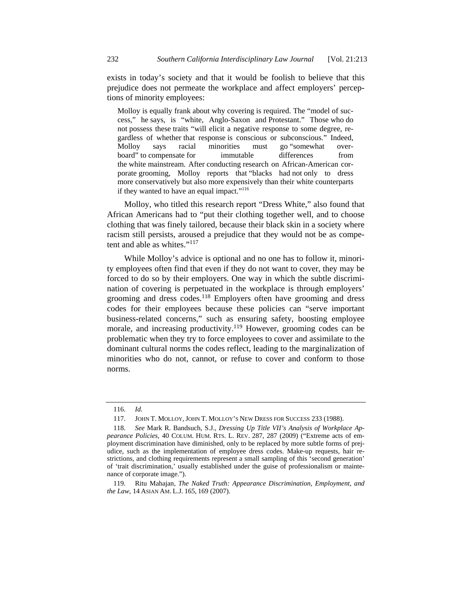exists in today's society and that it would be foolish to believe that this prejudice does not permeate the workplace and affect employers' perceptions of minority employees:

Molloy is equally frank about why covering is required. The "model of success," he says, is "white, Anglo-Saxon and Protestant." Those who do not possess these traits "will elicit a negative response to some degree, regardless of whether that response is conscious or subconscious." Indeed, Molloy says racial minorities must go "somewhat overboard" to compensate for immutable differences from the white mainstream. After conducting research on African-American corporate grooming, Molloy reports that "blacks had not only to dress more conservatively but also more expensively than their white counterparts if they wanted to have an equal impact."116

Molloy, who titled this research report "Dress White," also found that African Americans had to "put their clothing together well, and to choose clothing that was finely tailored, because their black skin in a society where racism still persists, aroused a prejudice that they would not be as competent and able as whites."<sup>117</sup>

While Molloy's advice is optional and no one has to follow it, minority employees often find that even if they do not want to cover, they may be forced to do so by their employers. One way in which the subtle discrimination of covering is perpetuated in the workplace is through employers' grooming and dress codes.<sup>118</sup> Employers often have grooming and dress codes for their employees because these policies can "serve important business-related concerns," such as ensuring safety, boosting employee morale, and increasing productivity.<sup>119</sup> However, grooming codes can be problematic when they try to force employees to cover and assimilate to the dominant cultural norms the codes reflect, leading to the marginalization of minorities who do not, cannot, or refuse to cover and conform to those norms.

 <sup>116.</sup> *Id.* 

 <sup>117.</sup> JOHN T. MOLLOY, JOHN T. MOLLOY'S NEW DRESS FOR SUCCESS 233 (1988).

 <sup>118.</sup> *See* Mark R. Bandsuch, S.J., *Dressing Up Title VII's Analysis of Workplace Appearance Policies*, 40 COLUM. HUM. RTS. L. REV. 287, 287 (2009) ("Extreme acts of employment discrimination have diminished, only to be replaced by more subtle forms of prejudice, such as the implementation of employee dress codes. Make-up requests, hair restrictions, and clothing requirements represent a small sampling of this 'second generation' of 'trait discrimination,' usually established under the guise of professionalism or maintenance of corporate image.").

 <sup>119.</sup> Ritu Mahajan, *The Naked Truth: Appearance Discrimination, Employment, and the Law*, 14 ASIAN AM. L.J. 165, 169 (2007).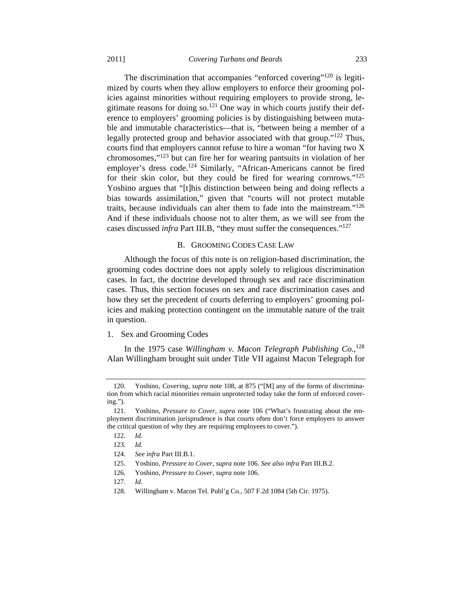The discrimination that accompanies "enforced covering"<sup>120</sup> is legitimized by courts when they allow employers to enforce their grooming policies against minorities without requiring employers to provide strong, legitimate reasons for doing so.121 One way in which courts justify their deference to employers' grooming policies is by distinguishing between mutable and immutable characteristics—that is, "between being a member of a legally protected group and behavior associated with that group."122 Thus, courts find that employers cannot refuse to hire a woman "for having two X chromosomes,"123 but can fire her for wearing pantsuits in violation of her employer's dress code.124 Similarly, "African-Americans cannot be fired for their skin color, but they could be fired for wearing cornrows."<sup>125</sup> Yoshino argues that "[t]his distinction between being and doing reflects a bias towards assimilation," given that "courts will not protect mutable traits, because individuals can alter them to fade into the mainstream."126 And if these individuals choose not to alter them, as we will see from the cases discussed *infra* Part III.B, "they must suffer the consequences."127

#### B. GROOMING CODES CASE LAW

Although the focus of this note is on religion-based discrimination, the grooming codes doctrine does not apply solely to religious discrimination cases. In fact, the doctrine developed through sex and race discrimination cases. Thus, this section focuses on sex and race discrimination cases and how they set the precedent of courts deferring to employers' grooming policies and making protection contingent on the immutable nature of the trait in question.

#### 1. Sex and Grooming Codes

In the 1975 case *Willingham v. Macon Telegraph Publishing Co.*, 128 Alan Willingham brought suit under Title VII against Macon Telegraph for

 <sup>120.</sup> Yoshino, *Covering*, *supra* note 108, at 875 ("[M] any of the forms of discrimination from which racial minorities remain unprotected today take the form of enforced covering.").

 <sup>121.</sup> Yoshino, *Pressure to Cover*, *supra* note 106 ("What's frustrating about the employment discrimination jurisprudence is that courts often don't force employers to answer the critical question of why they are requiring employees to cover.").

 <sup>122.</sup> *Id.*

 <sup>123.</sup> *Id.*

 <sup>124.</sup> *See infra* Part III.B.1.

 <sup>125.</sup> Yoshino, *Pressure to Cover*, *supra* note 106. *See also infra* Part III.B.2.

 <sup>126.</sup> Yoshino, *Pressure to Cover*, *supra* note 106.

 <sup>127.</sup> *Id.*

 <sup>128.</sup> Willingham v. Macon Tel. Publ'g Co., 507 F.2d 1084 (5th Cir. 1975).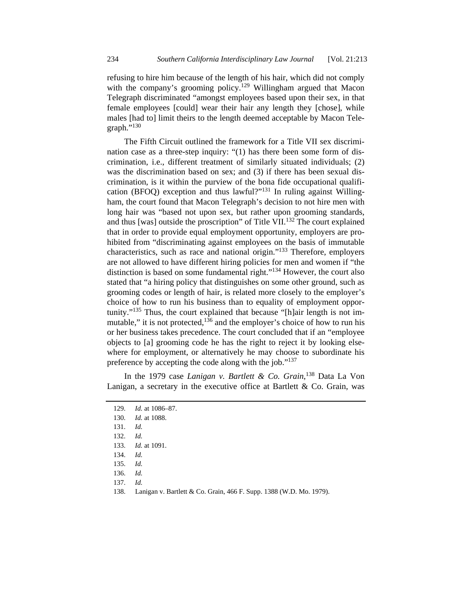refusing to hire him because of the length of his hair, which did not comply with the company's grooming policy.<sup>129</sup> Willingham argued that Macon Telegraph discriminated "amongst employees based upon their sex, in that female employees [could] wear their hair any length they [chose], while males [had to] limit theirs to the length deemed acceptable by Macon Telegraph." $^{130}$ 

The Fifth Circuit outlined the framework for a Title VII sex discrimination case as a three-step inquiry: "(1) has there been some form of discrimination, i.e., different treatment of similarly situated individuals; (2) was the discrimination based on sex; and (3) if there has been sexual discrimination, is it within the purview of the bona fide occupational qualification (BFOQ) exception and thus lawful?"131 In ruling against Willingham, the court found that Macon Telegraph's decision to not hire men with long hair was "based not upon sex, but rather upon grooming standards, and thus [was] outside the proscription" of Title VII.<sup>132</sup> The court explained that in order to provide equal employment opportunity, employers are prohibited from "discriminating against employees on the basis of immutable characteristics, such as race and national origin."133 Therefore, employers are not allowed to have different hiring policies for men and women if "the distinction is based on some fundamental right."134 However, the court also stated that "a hiring policy that distinguishes on some other ground, such as grooming codes or length of hair, is related more closely to the employer's choice of how to run his business than to equality of employment opportunity."<sup>135</sup> Thus, the court explained that because "[h]air length is not immutable," it is not protected,<sup>136</sup> and the employer's choice of how to run his or her business takes precedence. The court concluded that if an "employee objects to [a] grooming code he has the right to reject it by looking elsewhere for employment, or alternatively he may choose to subordinate his preference by accepting the code along with the job."137

In the 1979 case *Lanigan v. Bartlett & Co. Grain*, 138 Data La Von Lanigan, a secretary in the executive office at Bartlett  $\&$  Co. Grain, was

 <sup>129.</sup> *Id.* at 1086–87.

 <sup>130.</sup> *Id.* at 1088.

 <sup>131.</sup> *Id.*

 <sup>132.</sup> *Id.*

 <sup>133.</sup> *Id.* at 1091.

 <sup>134.</sup> *Id.*

 <sup>135.</sup> *Id.*

 <sup>136.</sup> *Id.*

 <sup>137.</sup> *Id.*

 <sup>138.</sup> Lanigan v. Bartlett & Co. Grain, 466 F. Supp. 1388 (W.D. Mo. 1979).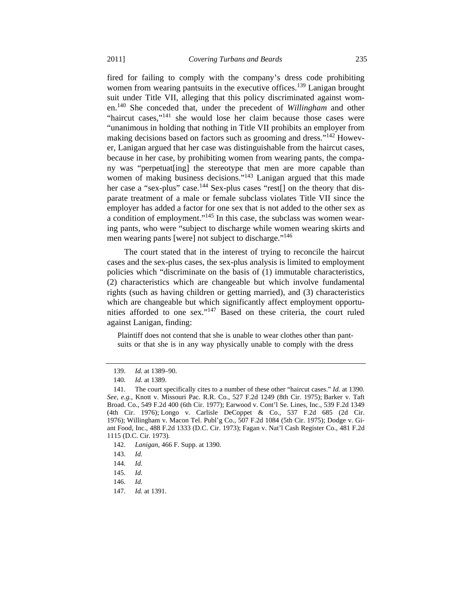fired for failing to comply with the company's dress code prohibiting women from wearing pantsuits in the executive offices.<sup>139</sup> Lanigan brought suit under Title VII, alleging that this policy discriminated against women.140 She conceded that, under the precedent of *Willingham* and other "haircut cases,"<sup>141</sup> she would lose her claim because those cases were "unanimous in holding that nothing in Title VII prohibits an employer from making decisions based on factors such as grooming and dress."142 However, Lanigan argued that her case was distinguishable from the haircut cases, because in her case, by prohibiting women from wearing pants, the company was "perpetuat[ing] the stereotype that men are more capable than women of making business decisions."<sup>143</sup> Lanigan argued that this made her case a "sex-plus" case.<sup>144</sup> Sex-plus cases "rest[] on the theory that disparate treatment of a male or female subclass violates Title VII since the employer has added a factor for one sex that is not added to the other sex as a condition of employment."145 In this case, the subclass was women wearing pants, who were "subject to discharge while women wearing skirts and men wearing pants [were] not subject to discharge."<sup>146</sup>

The court stated that in the interest of trying to reconcile the haircut cases and the sex-plus cases, the sex-plus analysis is limited to employment policies which "discriminate on the basis of (1) immutable characteristics, (2) characteristics which are changeable but which involve fundamental rights (such as having children or getting married), and (3) characteristics which are changeable but which significantly affect employment opportunities afforded to one sex."147 Based on these criteria, the court ruled against Lanigan, finding:

Plaintiff does not contend that she is unable to wear clothes other than pantsuits or that she is in any way physically unable to comply with the dress

142. *Lanigan*, 466 F. Supp. at 1390.

147. *Id.* at 1391.

 <sup>139.</sup> *Id.* at 1389–90.

 <sup>140.</sup> *Id.* at 1389.

 <sup>141.</sup> The court specifically cites to a number of these other "haircut cases." *Id.* at 1390. *See, e.g.*, Knott v. Missouri Pac. R.R. Co., 527 F.2d 1249 (8th Cir. 1975); Barker v. Taft Broad. Co., 549 F.2d 400 (6th Cir. 1977); Earwood v. Cont'l Se. Lines, Inc., 539 F.2d 1349 (4th Cir. 1976); Longo v. Carlisle DeCoppet & Co., 537 F.2d 685 (2d Cir. 1976); Willingham v. Macon Tel. Publ'g Co., 507 F.2d 1084 (5th Cir. 1975); Dodge v. Giant Food, Inc., 488 F.2d 1333 (D.C. Cir. 1973); Fagan v. Nat'l Cash Register Co., 481 F.2d 1115 (D.C. Cir. 1973).

 <sup>143.</sup> *Id.*

 <sup>144.</sup> *Id.*

 <sup>145.</sup> *Id.*

 <sup>146.</sup> *Id.*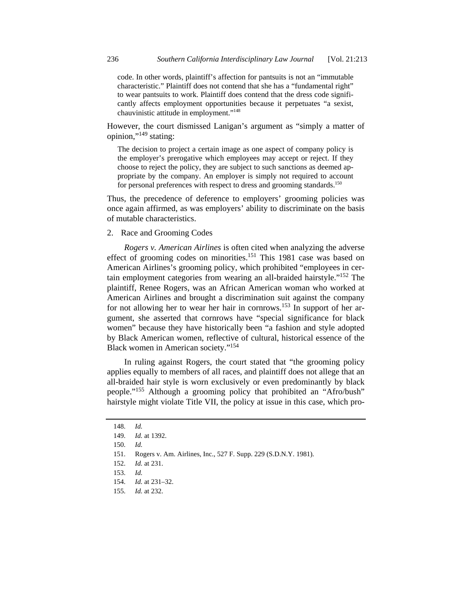code. In other words, plaintiff's affection for pantsuits is not an "immutable characteristic." Plaintiff does not contend that she has a "fundamental right" to wear pantsuits to work. Plaintiff does contend that the dress code significantly affects employment opportunities because it perpetuates "a sexist, chauvinistic attitude in employment."148

However, the court dismissed Lanigan's argument as "simply a matter of opinion,"149 stating:

The decision to project a certain image as one aspect of company policy is the employer's prerogative which employees may accept or reject. If they choose to reject the policy, they are subject to such sanctions as deemed appropriate by the company. An employer is simply not required to account for personal preferences with respect to dress and grooming standards.<sup>150</sup>

Thus, the precedence of deference to employers' grooming policies was once again affirmed, as was employers' ability to discriminate on the basis of mutable characteristics.

## 2. Race and Grooming Codes

*Rogers v. American Airlines* is often cited when analyzing the adverse effect of grooming codes on minorities.<sup>151</sup> This 1981 case was based on American Airlines's grooming policy, which prohibited "employees in certain employment categories from wearing an all-braided hairstyle."152 The plaintiff, Renee Rogers, was an African American woman who worked at American Airlines and brought a discrimination suit against the company for not allowing her to wear her hair in cornrows.153 In support of her argument, she asserted that cornrows have "special significance for black women" because they have historically been "a fashion and style adopted by Black American women, reflective of cultural, historical essence of the Black women in American society."154

In ruling against Rogers, the court stated that "the grooming policy applies equally to members of all races, and plaintiff does not allege that an all-braided hair style is worn exclusively or even predominantly by black people."155 Although a grooming policy that prohibited an "Afro/bush" hairstyle might violate Title VII, the policy at issue in this case, which pro-

 <sup>148.</sup> *Id.*

 <sup>149.</sup> *Id.* at 1392.

 <sup>151.</sup> Rogers v. Am. Airlines, Inc., 527 F. Supp. 229 (S.D.N.Y. 1981).

 <sup>152.</sup> *Id.* at 231.

 <sup>153.</sup> *Id.*

 <sup>154.</sup> *Id.* at 231–32.

 <sup>155.</sup> *Id.* at 232.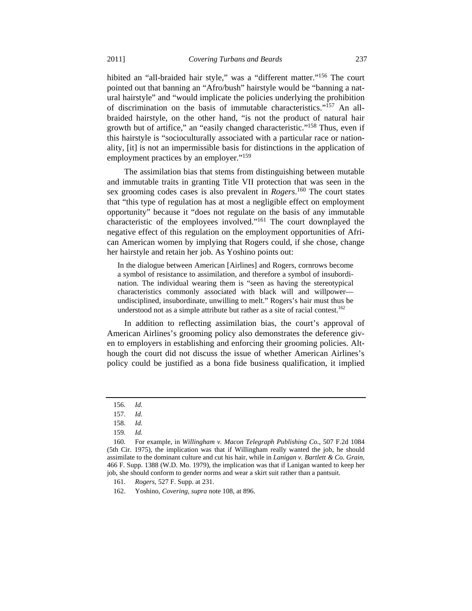hibited an "all-braided hair style," was a "different matter."<sup>156</sup> The court pointed out that banning an "Afro/bush" hairstyle would be "banning a natural hairstyle" and "would implicate the policies underlying the prohibition of discrimination on the basis of immutable characteristics."<sup>157</sup> An allbraided hairstyle, on the other hand, "is not the product of natural hair growth but of artifice," an "easily changed characteristic."158 Thus, even if this hairstyle is "socioculturally associated with a particular race or nationality, [it] is not an impermissible basis for distinctions in the application of employment practices by an employer."<sup>159</sup>

The assimilation bias that stems from distinguishing between mutable and immutable traits in granting Title VII protection that was seen in the sex grooming codes cases is also prevalent in *Rogers*. 160 The court states that "this type of regulation has at most a negligible effect on employment opportunity" because it "does not regulate on the basis of any immutable characteristic of the employees involved."161 The court downplayed the negative effect of this regulation on the employment opportunities of African American women by implying that Rogers could, if she chose, change her hairstyle and retain her job. As Yoshino points out:

In the dialogue between American [Airlines] and Rogers, cornrows become a symbol of resistance to assimilation, and therefore a symbol of insubordination. The individual wearing them is "seen as having the stereotypical characteristics commonly associated with black will and willpower undisciplined, insubordinate, unwilling to melt." Rogers's hair must thus be understood not as a simple attribute but rather as a site of racial contest.<sup>162</sup>

In addition to reflecting assimilation bias, the court's approval of American Airlines's grooming policy also demonstrates the deference given to employers in establishing and enforcing their grooming policies. Although the court did not discuss the issue of whether American Airlines's policy could be justified as a bona fide business qualification, it implied

 <sup>156.</sup> *Id.*

 <sup>157.</sup> *Id.*

 <sup>158.</sup> *Id.*

 <sup>160.</sup> For example, in *Willingham v. Macon Telegraph Publishing Co.*, 507 F.2d 1084 (5th Cir. 1975), the implication was that if Willingham really wanted the job, he should assimilate to the dominant culture and cut his hair, while in *Lanigan v. Bartlett & Co. Grain*, 466 F. Supp. 1388 (W.D. Mo. 1979), the implication was that if Lanigan wanted to keep her job, she should conform to gender norms and wear a skirt suit rather than a pantsuit.

 <sup>161.</sup> *Rogers*, 527 F. Supp. at 231.

 <sup>162.</sup> Yoshino, *Covering*, *supra* note 108, at 896.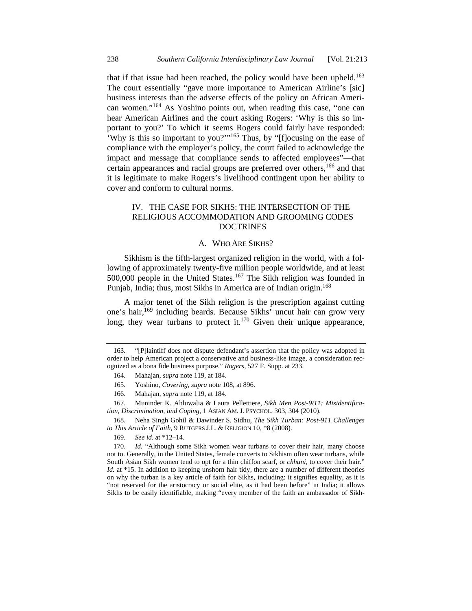that if that issue had been reached, the policy would have been upheld.<sup>163</sup> The court essentially "gave more importance to American Airline's [sic] business interests than the adverse effects of the policy on African American women."164 As Yoshino points out, when reading this case, "one can hear American Airlines and the court asking Rogers: 'Why is this so important to you?' To which it seems Rogers could fairly have responded: 'Why is this so important to you?'"165 Thus, by "[f]ocusing on the ease of compliance with the employer's policy, the court failed to acknowledge the impact and message that compliance sends to affected employees"—that certain appearances and racial groups are preferred over others,<sup>166</sup> and that it is legitimate to make Rogers's livelihood contingent upon her ability to cover and conform to cultural norms.

## IV. THE CASE FOR SIKHS: THE INTERSECTION OF THE RELIGIOUS ACCOMMODATION AND GROOMING CODES DOCTRINES

#### A. WHO ARE SIKHS?

Sikhism is the fifth-largest organized religion in the world, with a following of approximately twenty-five million people worldwide, and at least 500,000 people in the United States.167 The Sikh religion was founded in Punjab, India; thus, most Sikhs in America are of Indian origin.<sup>168</sup>

A major tenet of the Sikh religion is the prescription against cutting one's hair,169 including beards. Because Sikhs' uncut hair can grow very long, they wear turbans to protect it.<sup>170</sup> Given their unique appearance,

169. *See id.* at \*12–14.

 170. *Id.* "Although some Sikh women wear turbans to cover their hair, many choose not to. Generally, in the United States, female converts to Sikhism often wear turbans, while South Asian Sikh women tend to opt for a thin chiffon scarf, or *chhuni*, to cover their hair." Id. at \*15. In addition to keeping unshorn hair tidy, there are a number of different theories on why the turban is a key article of faith for Sikhs, including: it signifies equality, as it is "not reserved for the aristocracy or social elite, as it had been before" in India; it allows Sikhs to be easily identifiable, making "every member of the faith an ambassador of Sikh-

 <sup>163. &</sup>quot;[P]laintiff does not dispute defendant's assertion that the policy was adopted in order to help American project a conservative and business-like image, a consideration recognized as a bona fide business purpose." *Rogers*, 527 F. Supp. at 233.

 <sup>164.</sup> Mahajan, *supra* note 119, at 184.

 <sup>165.</sup> Yoshino, *Covering*, *supra* note 108, at 896.

 <sup>166.</sup> Mahajan, *supra* note 119, at 184.

 <sup>167.</sup> Muninder K. Ahluwalia & Laura Pellettiere, *Sikh Men Post-9/11: Misidentification, Discrimination, and Coping*, 1 ASIAN AM. J. PSYCHOL. 303, 304 (2010).

 <sup>168.</sup> Neha Singh Gohil & Dawinder S. Sidhu, *The Sikh Turban: Post-911 Challenges to This Article of Faith*, 9 RUTGERS J.L. & RELIGION 10, \*8 (2008).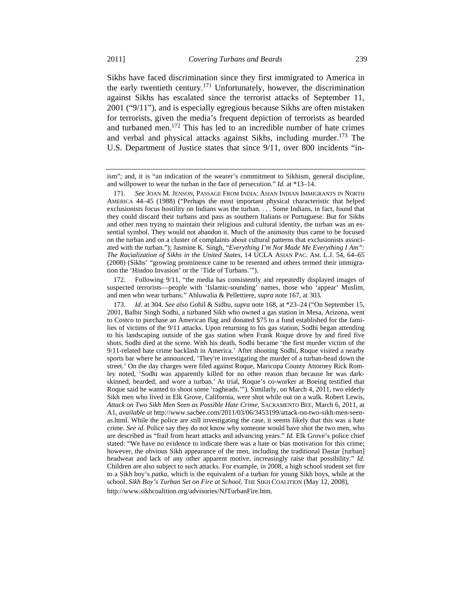Sikhs have faced discrimination since they first immigrated to America in the early twentieth century.<sup>171</sup> Unfortunately, however, the discrimination against Sikhs has escalated since the terrorist attacks of September 11, 2001 ("9/11"), and is especially egregious because Sikhs are often mistaken for terrorists, given the media's frequent depiction of terrorists as bearded and turbaned men.172 This has led to an incredible number of hate crimes and verbal and physical attacks against Sikhs, including murder.173 The

U.S. Department of Justice states that since 9/11, over 800 incidents "in-

 172. Following 9/11, "the media has consistently and repeatedly displayed images of suspected terrorists—people with 'Islamic-sounding' names, those who 'appear' Muslim, and men who wear turbans." Ahluwalia & Pellettiere, *supra* note 167, at 303.

 173. *Id.* at 304. *See also* Gohil & Sidhu, *supra* note 168, at \*23–24 ("On September 15, 2001, Balbir Singh Sodhi, a turbaned Sikh who owned a gas station in Mesa, Arizona, went to Costco to purchase an American flag and donated \$75 to a fund established for the families of victims of the 9/11 attacks. Upon returning to his gas station, Sodhi began attending to his landscaping outside of the gas station when Frank Roque drove by and fired five shots. Sodhi died at the scene. With his death, Sodhi became 'the first murder victim of the 9/11-related hate crime backlash in America.' After shooting Sodhi, Roque visited a nearby sports bar where he announced, 'They're investigating the murder of a turban-head down the street.' On the day charges were filed against Roque, Maricopa County Attorney Rick Romley noted, 'Sodhi was apparently killed for no other reason than because he was darkskinned, bearded, and wore a turban.' At trial, Roque's co-worker at Boeing testified that Roque said he wanted to shoot some 'ragheads.'"). Similarly, on March 4, 2011, two elderly Sikh men who lived in Elk Grove, California, were shot while out on a walk. Robert Lewis, *Attack on Two Sikh Men Seen as Possible Hate Crime*, SACRAMENTO BEE, March 6, 2011, at A1, *available at* http://www.sacbee.com/2011/03/06/3453199/attack-on-two-sikh-men-seenas.html. While the police are still investigating the case, it seems likely that this was a hate crime. *See id.* Police say they do not know why someone would have shot the two men, who are described as "frail from heart attacks and advancing years." *Id.* Elk Grove's police chief stated: "We have no evidence to indicate there was a hate or bias motivation for this crime; however, the obvious Sikh appearance of the men, including the traditional Dastar [turban] headwear and lack of any other apparent motive, increasingly raise that possibility." *Id.*  Children are also subject to such attacks. For example, in 2008, a high school student set fire to a Sikh boy's *patka*, which is the equivalent of a turban for young Sikh boys, while at the school. *Sikh Boy's Turban Set on Fire at School*, THE SIKH COALITION (May 12, 2008), http://www.sikhcoalition.org/advisories/NJTurbanFire.htm.

ism"; and, it is "an indication of the wearer's commitment to Sikhism, general discipline, and willpower to wear the turban in the face of persecution." *Id.* at \*13–14.

 <sup>171.</sup> *See* JOAN M. JENSON, PASSAGE FROM INDIA: ASIAN INDIAN IMMIGRANTS IN NORTH AMERICA 44–45 (1988) ("Perhaps the most important physical characteristic that helped exclusionists focus hostility on Indians was the turban. . . . Some Indians, in fact, found that they could discard their turbans and pass as southern Italians or Portuguese. But for Sikhs and other men trying to maintain their religious and cultural identity, the turban was an essential symbol. They would not abandon it. Much of the animosity thus came to be focused on the turban and on a cluster of complaints about cultural patterns that exclusionists associated with the turban."); Jasmine K. Singh, "*Everything I'm Not Made Me Everything I Am": The Racialization of Sikhs in the United States*, 14 UCLA ASIAN PAC. AM. L.J. 54, 64–65 (2008) (Sikhs' "growing prominence came to be resented and others termed their immigration the 'Hindoo Invasion' or the 'Tide of Turbans.'").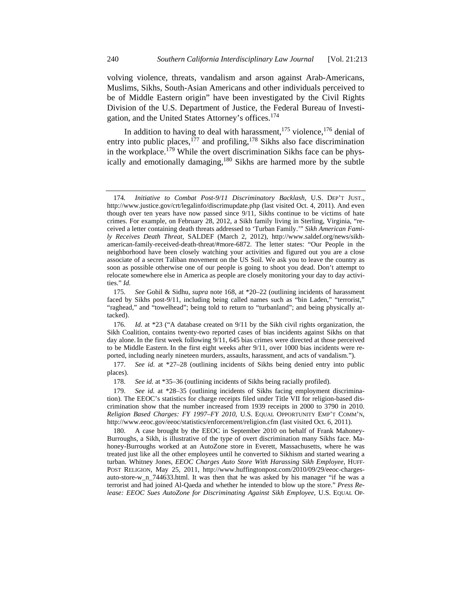volving violence, threats, vandalism and arson against Arab-Americans, Muslims, Sikhs, South-Asian Americans and other individuals perceived to be of Middle Eastern origin" have been investigated by the Civil Rights Division of the U.S. Department of Justice, the Federal Bureau of Investigation, and the United States Attorney's offices.<sup>174</sup>

In addition to having to deal with harassment, $175$  violence,  $176$  denial of entry into public places, $^{177}$  and profiling, $^{178}$  Sikhs also face discrimination in the workplace.<sup>179</sup> While the overt discrimination Sikhs face can be physically and emotionally damaging,<sup>180</sup> Sikhs are harmed more by the subtle

<sup>174</sup>*. Initiative to Combat Post-9/11 Discriminatory Backlash,* U.S. DEP'T JUST., http://www.justice.gov/crt/legalinfo/discrimupdate.php (last visited Oct. 4, 2011). And even though over ten years have now passed since 9/11, Sikhs continue to be victims of hate crimes. For example, on February 28, 2012, a Sikh family living in Sterling, Virginia, "received a letter containing death threats addressed to 'Turban Family.'" *Sikh American Family Receives Death Threat*, SALDEF (March 2, 2012), http://www.saldef.org/news/sikhamerican-family-received-death-threat/#more-6872. The letter states: "Our People in the neighborhood have been closely watching your activities and figured out you are a close associate of a secret Taliban movement on the US Soil. We ask you to leave the country as soon as possible otherwise one of our people is going to shoot you dead. Don't attempt to relocate somewhere else in America as people are closely monitoring your day to day activities." *Id.*

 <sup>175.</sup> *See* Gohil & Sidhu, *supra* note 168, at \*20–22 (outlining incidents of harassment faced by Sikhs post-9/11, including being called names such as "bin Laden," "terrorist," "raghead," and "towelhead"; being told to return to "turbanland"; and being physically attacked).

 <sup>176.</sup> *Id.* at \*23 ("A database created on 9/11 by the Sikh civil rights organization, the Sikh Coalition, contains twenty-two reported cases of bias incidents against Sikhs on that day alone. In the first week following 9/11, 645 bias crimes were directed at those perceived to be Middle Eastern. In the first eight weeks after 9/11, over 1000 bias incidents were reported, including nearly nineteen murders, assaults, harassment, and acts of vandalism.").

 <sup>177.</sup> *See id.* at \*27–28 (outlining incidents of Sikhs being denied entry into public places).

 <sup>178.</sup> *See id.* at \*35–36 (outlining incidents of Sikhs being racially profiled).

 <sup>179.</sup> *See id.* at \*28–35 (outlining incidents of Sikhs facing employment discrimination). The EEOC's statistics for charge receipts filed under Title VII for religion-based discrimination show that the number increased from 1939 receipts in 2000 to 3790 in 2010. *Religion Based Charges: FY 1997–FY 2010*, U.S. EQUAL OPPORTUNITY EMP'T COMM'N, http://www.eeoc.gov/eeoc/statistics/enforcement/religion.cfm (last visited Oct. 6, 2011).

 <sup>180.</sup> A case brought by the EEOC in September 2010 on behalf of Frank Mahoney-Burroughs, a Sikh, is illustrative of the type of overt discrimination many Sikhs face. Mahoney-Burroughs worked at an AutoZone store in Everett, Massachusetts, where he was treated just like all the other employees until he converted to Sikhism and started wearing a turban. Whitney Jones, *EEOC Charges Auto Store With Harassing Sikh Employee*, HUFF-POST RELIGION, May 25, 2011, http://www.huffingtonpost.com/2010/09/29/eeoc-chargesauto-store-w\_n\_744633.html. It was then that he was asked by his manager "if he was a terrorist and had joined Al-Qaeda and whether he intended to blow up the store." *Press Release: EEOC Sues AutoZone for Discriminating Against Sikh Employee*, U.S. EQUAL OP-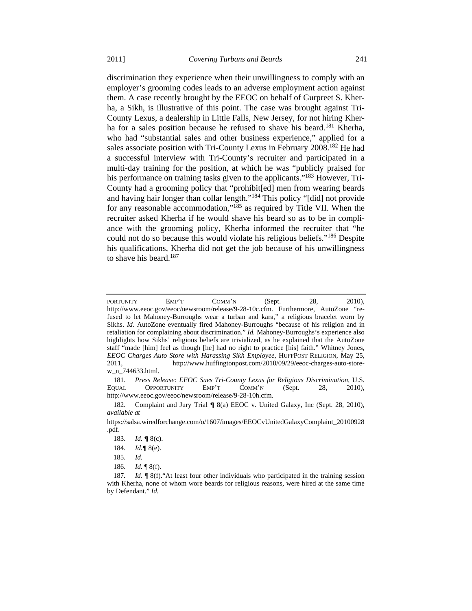discrimination they experience when their unwillingness to comply with an employer's grooming codes leads to an adverse employment action against them. A case recently brought by the EEOC on behalf of Gurpreet S. Kherha, a Sikh, is illustrative of this point. The case was brought against Tri-County Lexus, a dealership in Little Falls, New Jersey, for not hiring Kherha for a sales position because he refused to shave his beard.<sup>181</sup> Kherha, who had "substantial sales and other business experience," applied for a sales associate position with Tri-County Lexus in February 2008.<sup>182</sup> He had a successful interview with Tri-County's recruiter and participated in a multi-day training for the position, at which he was "publicly praised for his performance on training tasks given to the applicants."<sup>183</sup> However, Tri-County had a grooming policy that "prohibit[ed] men from wearing beards and having hair longer than collar length."184 This policy "[did] not provide for any reasonable accommodation,"185 as required by Title VII. When the

recruiter asked Kherha if he would shave his beard so as to be in compliance with the grooming policy, Kherha informed the recruiter that "he could not do so because this would violate his religious beliefs."186 Despite his qualifications, Kherha did not get the job because of his unwillingness to shave his beard.<sup>187</sup>

 181. *Press Release: EEOC Sues Tri-County Lexus for Religious Discrimination*, U.S. EQUAL OPPORTUNITY EMP'T COMM'N (Sept. 28, 2010), http://www.eeoc.gov/eeoc/newsroom/release/9-28-10h.cfm.

PORTUNITY EMP'T COMM'N (Sept. 28, 2010), http://www.eeoc.gov/eeoc/newsroom/release/9-28-10c.cfm. Furthermore, AutoZone "refused to let Mahoney-Burroughs wear a turban and kara," a religious bracelet worn by Sikhs. *Id.* AutoZone eventually fired Mahoney-Burroughs "because of his religion and in retaliation for complaining about discrimination." *Id.* Mahoney-Burroughs's experience also highlights how Sikhs' religious beliefs are trivialized, as he explained that the AutoZone staff "made [him] feel as though [he] had no right to practice [his] faith." Whitney Jones, *EEOC Charges Auto Store with Harassing Sikh Employee*, HUFFPOST RELIGION, May 25, 2011, http://www.huffingtonpost.com/2010/09/29/eeoc-charges-auto-storew\_n\_744633.html.

 <sup>182.</sup> Complaint and Jury Trial ¶ 8(a) EEOC v. United Galaxy, Inc (Sept. 28, 2010), *available at*

https://salsa.wiredforchange.com/o/1607/images/EEOCvUnitedGalaxyComplaint\_20100928 .pdf.

 <sup>183.</sup> *Id.* ¶ 8(c).

 <sup>184.</sup> *Id.*¶ 8(e).

 <sup>185.</sup> *Id.*

 <sup>186.</sup> *Id.* ¶ 8(f).

<sup>187</sup>*. Id.* ¶ 8(f)."At least four other individuals who participated in the training session with Kherha, none of whom wore beards for religious reasons, were hired at the same time by Defendant." *Id.*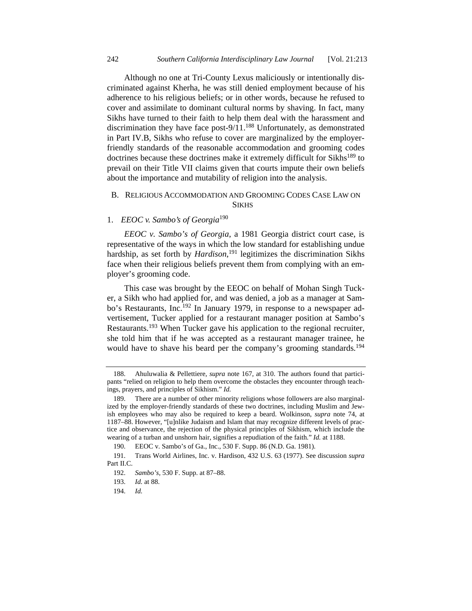Although no one at Tri-County Lexus maliciously or intentionally discriminated against Kherha, he was still denied employment because of his adherence to his religious beliefs; or in other words, because he refused to cover and assimilate to dominant cultural norms by shaving. In fact, many Sikhs have turned to their faith to help them deal with the harassment and discrimination they have face post- $9/11$ .<sup>188</sup> Unfortunately, as demonstrated in Part IV.B, Sikhs who refuse to cover are marginalized by the employerfriendly standards of the reasonable accommodation and grooming codes doctrines because these doctrines make it extremely difficult for Sikhs<sup>189</sup> to prevail on their Title VII claims given that courts impute their own beliefs about the importance and mutability of religion into the analysis.

### B. RELIGIOUS ACCOMMODATION AND GROOMING CODES CASE LAW ON **SIKHS**

## 1. *EEOC v. Sambo's of Georgia*<sup>190</sup>

*EEOC v. Sambo's of Georgia*, a 1981 Georgia district court case, is representative of the ways in which the low standard for establishing undue hardship, as set forth by *Hardison*, 191 legitimizes the discrimination Sikhs face when their religious beliefs prevent them from complying with an employer's grooming code.

This case was brought by the EEOC on behalf of Mohan Singh Tucker, a Sikh who had applied for, and was denied, a job as a manager at Sambo's Restaurants, Inc.<sup>192</sup> In January 1979, in response to a newspaper advertisement, Tucker applied for a restaurant manager position at Sambo's Restaurants.<sup>193</sup> When Tucker gave his application to the regional recruiter, she told him that if he was accepted as a restaurant manager trainee, he would have to shave his beard per the company's grooming standards.<sup>194</sup>

 <sup>188.</sup> Ahuluwalia & Pellettiere, *supra* note 167, at 310. The authors found that participants "relied on religion to help them overcome the obstacles they encounter through teachings, prayers, and principles of Sikhism." *Id.*

 <sup>189.</sup> There are a number of other minority religions whose followers are also marginalized by the employer-friendly standards of these two doctrines, including Muslim and Jewish employees who may also be required to keep a beard. Wolkinson, *supra* note 74, at 1187–88. However, "[u]nlike Judaism and Islam that may recognize different levels of practice and observance, the rejection of the physical principles of Sikhism, which include the wearing of a turban and unshorn hair, signifies a repudiation of the faith." *Id.* at 1188.

 <sup>190.</sup> EEOC v. Sambo's of Ga., Inc., 530 F. Supp. 86 (N.D. Ga. 1981).

 <sup>191.</sup> Trans World Airlines, Inc. v. Hardison, 432 U.S. 63 (1977). See discussion *supra*  Part II.C.

 <sup>192.</sup> *Sambo's*, 530 F. Supp. at 87–88.

 <sup>193.</sup> *Id.* at 88.

 <sup>194.</sup> *Id.*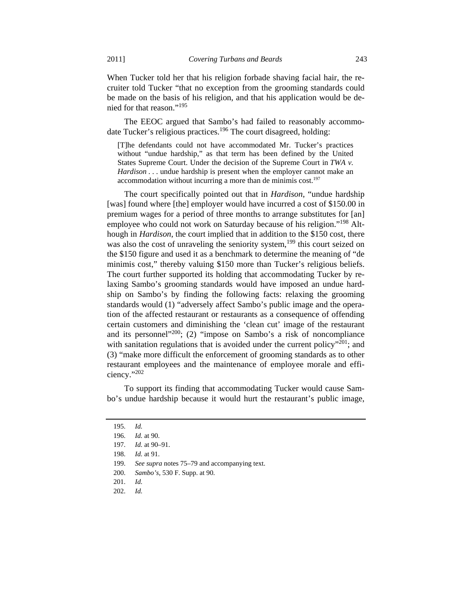When Tucker told her that his religion forbade shaving facial hair, the recruiter told Tucker "that no exception from the grooming standards could be made on the basis of his religion, and that his application would be denied for that reason."<sup>195</sup>

The EEOC argued that Sambo's had failed to reasonably accommodate Tucker's religious practices.<sup>196</sup> The court disagreed, holding:

[T]he defendants could not have accommodated Mr. Tucker's practices without "undue hardship," as that term has been defined by the United States Supreme Court. Under the decision of the Supreme Court in *TWA v. Hardison* . . . undue hardship is present when the employer cannot make an accommodation without incurring a more than de minimis  $cost<sup>197</sup>$ 

The court specifically pointed out that in *Hardison*, "undue hardship [was] found where [the] employer would have incurred a cost of \$150.00 in premium wages for a period of three months to arrange substitutes for [an] employee who could not work on Saturday because of his religion."<sup>198</sup> Although in *Hardison*, the court implied that in addition to the \$150 cost, there was also the cost of unraveling the seniority system,<sup>199</sup> this court seized on the \$150 figure and used it as a benchmark to determine the meaning of "de minimis cost," thereby valuing \$150 more than Tucker's religious beliefs. The court further supported its holding that accommodating Tucker by relaxing Sambo's grooming standards would have imposed an undue hardship on Sambo's by finding the following facts: relaxing the grooming standards would (1) "adversely affect Sambo's public image and the operation of the affected restaurant or restaurants as a consequence of offending certain customers and diminishing the 'clean cut' image of the restaurant and its personnel"<sup>200</sup>; (2) "impose on Sambo's a risk of noncompliance with sanitation regulations that is avoided under the current policy"<sup>201</sup>; and (3) "make more difficult the enforcement of grooming standards as to other restaurant employees and the maintenance of employee morale and efficiency."202

To support its finding that accommodating Tucker would cause Sambo's undue hardship because it would hurt the restaurant's public image,

 <sup>195.</sup> *Id.*

 <sup>196.</sup> *Id.* at 90.

 <sup>197.</sup> *Id.* at 90–91.

 <sup>198.</sup> *Id.* at 91.

 <sup>199.</sup> *See supra* notes 75–79 and accompanying text.

 <sup>200.</sup> *Sambo's*, 530 F. Supp. at 90.

 <sup>201.</sup> *Id.*

 <sup>202.</sup> *Id.*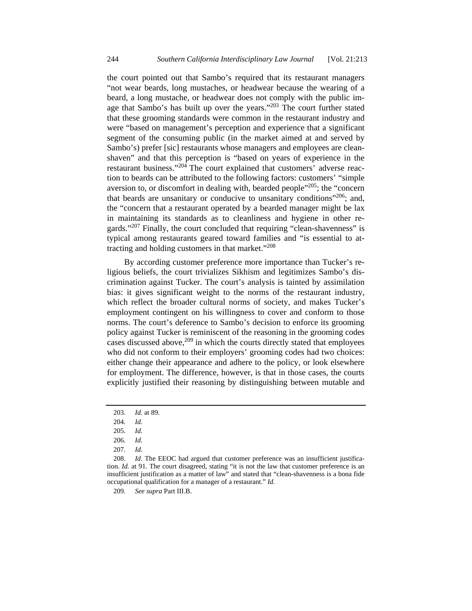the court pointed out that Sambo's required that its restaurant managers "not wear beards, long mustaches, or headwear because the wearing of a beard, a long mustache, or headwear does not comply with the public image that Sambo's has built up over the years."<sup>203</sup> The court further stated that these grooming standards were common in the restaurant industry and were "based on management's perception and experience that a significant segment of the consuming public (in the market aimed at and served by Sambo's) prefer [sic] restaurants whose managers and employees are cleanshaven" and that this perception is "based on years of experience in the restaurant business."<sup>204</sup> The court explained that customers' adverse reaction to beards can be attributed to the following factors: customers' "simple aversion to, or discomfort in dealing with, bearded people $1205$ ; the "concern that beards are unsanitary or conducive to unsanitary conditions<sup> $206$ </sup>; and, the "concern that a restaurant operated by a bearded manager might be lax in maintaining its standards as to cleanliness and hygiene in other regards."<sup>207</sup> Finally, the court concluded that requiring "clean-shavenness" is typical among restaurants geared toward families and "is essential to attracting and holding customers in that market."208

By according customer preference more importance than Tucker's religious beliefs, the court trivializes Sikhism and legitimizes Sambo's discrimination against Tucker. The court's analysis is tainted by assimilation bias: it gives significant weight to the norms of the restaurant industry, which reflect the broader cultural norms of society, and makes Tucker's employment contingent on his willingness to cover and conform to those norms. The court's deference to Sambo's decision to enforce its grooming policy against Tucker is reminiscent of the reasoning in the grooming codes cases discussed above, $209$  in which the courts directly stated that employees who did not conform to their employers' grooming codes had two choices: either change their appearance and adhere to the policy, or look elsewhere for employment. The difference, however, is that in those cases, the courts explicitly justified their reasoning by distinguishing between mutable and

209. *See supra* Part III.B.

 <sup>203.</sup> *Id.* at 89.

 <sup>204.</sup> *Id.*

 <sup>205.</sup> *Id.*

 <sup>206.</sup> *Id.*

 <sup>207.</sup> *Id.*

<sup>208.</sup> *Id.* The EEOC had argued that customer preference was an insufficient justification. *Id.* at 91. The court disagreed, stating "it is not the law that customer preference is an insufficient justification as a matter of law" and stated that "clean-shavenness is a bona fide occupational qualification for a manager of a restaurant." *Id.*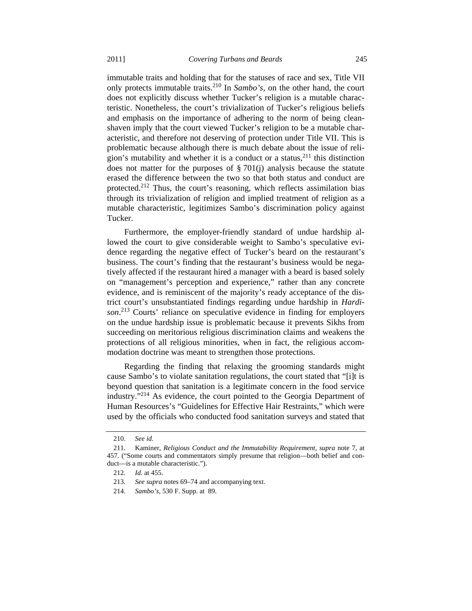immutable traits and holding that for the statuses of race and sex, Title VII only protects immutable traits.210 In *Sambo's*, on the other hand, the court does not explicitly discuss whether Tucker's religion is a mutable characteristic. Nonetheless, the court's trivialization of Tucker's religious beliefs and emphasis on the importance of adhering to the norm of being cleanshaven imply that the court viewed Tucker's religion to be a mutable characteristic, and therefore not deserving of protection under Title VII. This is problematic because although there is much debate about the issue of religion's mutability and whether it is a conduct or a status,  $2^{11}$  this distinction does not matter for the purposes of  $\S 701(i)$  analysis because the statute

erased the difference between the two so that both status and conduct are protected.<sup>212</sup> Thus, the court's reasoning, which reflects assimilation bias through its trivialization of religion and implied treatment of religion as a mutable characteristic, legitimizes Sambo's discrimination policy against Tucker.

Furthermore, the employer-friendly standard of undue hardship allowed the court to give considerable weight to Sambo's speculative evidence regarding the negative effect of Tucker's beard on the restaurant's business. The court's finding that the restaurant's business would be negatively affected if the restaurant hired a manager with a beard is based solely on "management's perception and experience," rather than any concrete evidence, and is reminiscent of the majority's ready acceptance of the district court's unsubstantiated findings regarding undue hardship in *Hardison*. 213 Courts' reliance on speculative evidence in finding for employers on the undue hardship issue is problematic because it prevents Sikhs from succeeding on meritorious religious discrimination claims and weakens the protections of all religious minorities, when in fact, the religious accommodation doctrine was meant to strengthen those protections.

Regarding the finding that relaxing the grooming standards might cause Sambo's to violate sanitation regulations, the court stated that "[i]t is beyond question that sanitation is a legitimate concern in the food service industry."214 As evidence, the court pointed to the Georgia Department of Human Resources's "Guidelines for Effective Hair Restraints," which were used by the officials who conducted food sanitation surveys and stated that

 <sup>210.</sup> *See id.*

 <sup>211.</sup> Kaminer, *Religious Conduct and the Immutability Requirement*, *supra* note 7, at 457. ("Some courts and commentators simply presume that religion—both belief and conduct—is a mutable characteristic.").

 <sup>212.</sup> *Id.* at 455.

 <sup>213.</sup> *See supra* notes 69–74 and accompanying text.

 <sup>214.</sup> *Sambo's*, 530 F. Supp. at 89.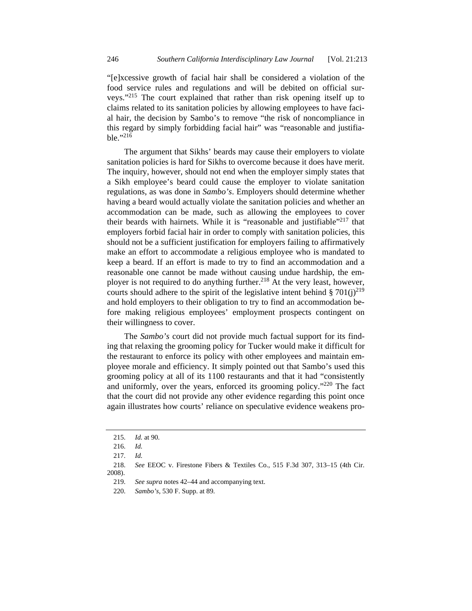"[e]xcessive growth of facial hair shall be considered a violation of the food service rules and regulations and will be debited on official surveys."215 The court explained that rather than risk opening itself up to claims related to its sanitation policies by allowing employees to have facial hair, the decision by Sambo's to remove "the risk of noncompliance in this regard by simply forbidding facial hair" was "reasonable and justifiable."216

The argument that Sikhs' beards may cause their employers to violate sanitation policies is hard for Sikhs to overcome because it does have merit. The inquiry, however, should not end when the employer simply states that a Sikh employee's beard could cause the employer to violate sanitation regulations, as was done in *Sambo's*. Employers should determine whether having a beard would actually violate the sanitation policies and whether an accommodation can be made, such as allowing the employees to cover their beards with hairnets. While it is "reasonable and justifiable"<sup>217</sup> that employers forbid facial hair in order to comply with sanitation policies, this should not be a sufficient justification for employers failing to affirmatively make an effort to accommodate a religious employee who is mandated to keep a beard. If an effort is made to try to find an accommodation and a reasonable one cannot be made without causing undue hardship, the employer is not required to do anything further.<sup>218</sup> At the very least, however, courts should adhere to the spirit of the legislative intent behind § 701(j)<sup>219</sup> and hold employers to their obligation to try to find an accommodation before making religious employees' employment prospects contingent on their willingness to cover.

The *Sambo's* court did not provide much factual support for its finding that relaxing the grooming policy for Tucker would make it difficult for the restaurant to enforce its policy with other employees and maintain employee morale and efficiency. It simply pointed out that Sambo's used this grooming policy at all of its 1100 restaurants and that it had "consistently and uniformly, over the years, enforced its grooming policy."220 The fact that the court did not provide any other evidence regarding this point once again illustrates how courts' reliance on speculative evidence weakens pro-

219. *See supra* notes 42–44 and accompanying text.

 <sup>215.</sup> *Id.* at 90.

 <sup>216.</sup> *Id.*

 <sup>217.</sup> *Id.*

 <sup>218.</sup> *See* EEOC v. Firestone Fibers & Textiles Co., 515 F.3d 307, 313–15 (4th Cir. 2008).

 <sup>220.</sup> *Sambo's*, 530 F. Supp. at 89.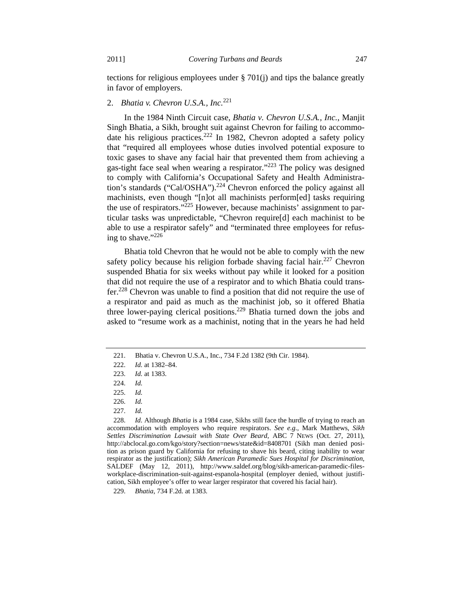tections for religious employees under § 701(j) and tips the balance greatly in favor of employers.

# 2. *Bhatia v. Chevron U.S.A., Inc.*<sup>221</sup>

In the 1984 Ninth Circuit case, *Bhatia v. Chevron U.S.A., Inc.*, Manjit Singh Bhatia, a Sikh, brought suit against Chevron for failing to accommodate his religious practices.<sup>222</sup> In 1982, Chevron adopted a safety policy that "required all employees whose duties involved potential exposure to toxic gases to shave any facial hair that prevented them from achieving a gas-tight face seal when wearing a respirator."223 The policy was designed to comply with California's Occupational Safety and Health Administration's standards ("Cal/OSHA").<sup>224</sup> Chevron enforced the policy against all machinists, even though "[n]ot all machinists perform[ed] tasks requiring the use of respirators."<sup>225</sup> However, because machinists' assignment to particular tasks was unpredictable, "Chevron require[d] each machinist to be able to use a respirator safely" and "terminated three employees for refusing to shave."226

Bhatia told Chevron that he would not be able to comply with the new safety policy because his religion forbade shaving facial hair.<sup>227</sup> Chevron suspended Bhatia for six weeks without pay while it looked for a position that did not require the use of a respirator and to which Bhatia could transfer.<sup>228</sup> Chevron was unable to find a position that did not require the use of a respirator and paid as much as the machinist job, so it offered Bhatia three lower-paying clerical positions.229 Bhatia turned down the jobs and asked to "resume work as a machinist, noting that in the years he had held

 <sup>221.</sup> Bhatia v. Chevron U.S.A., Inc., 734 F.2d 1382 (9th Cir. 1984).

 <sup>222.</sup> *Id.* at 1382–84.

 <sup>223.</sup> *Id.* at 1383.

 <sup>224.</sup> *Id.*

 <sup>225.</sup> *Id.*

 <sup>226.</sup> *Id.*

 <sup>227.</sup> *Id.*

 <sup>228.</sup> *Id.* Although *Bhatia* is a 1984 case, Sikhs still face the hurdle of trying to reach an accommodation with employers who require respirators. *See e.g.,* Mark Matthews, *Sikh Settles Discrimination Lawsuit with State Over Beard*, ABC 7 NEWS (Oct. 27, 2011), http://abclocal.go.com/kgo/story?section=news/state&id=8408701 (Sikh man denied position as prison guard by California for refusing to shave his beard, citing inability to wear respirator as the justification); *Sikh American Paramedic Sues Hospital for Discrimination*, SALDEF (May 12, 2011), http://www.saldef.org/blog/sikh-american-paramedic-filesworkplace-discrimination-suit-against-espanola-hospital (employer denied, without justification, Sikh employee's offer to wear larger respirator that covered his facial hair).

 <sup>229.</sup> *Bhatia*, 734 F.2d. at 1383.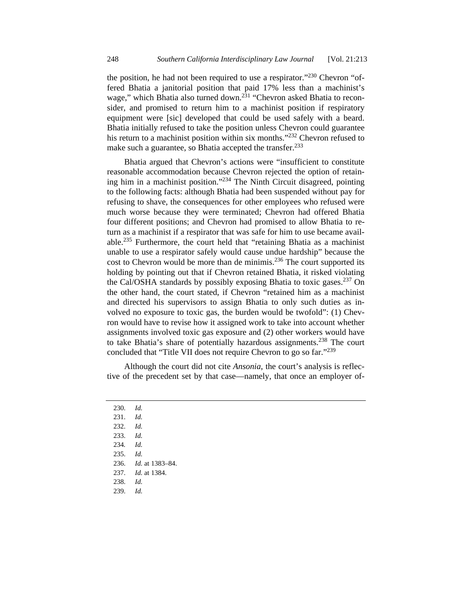the position, he had not been required to use a respirator."230 Chevron "offered Bhatia a janitorial position that paid 17% less than a machinist's wage," which Bhatia also turned down.<sup>231</sup> "Chevron asked Bhatia to reconsider, and promised to return him to a machinist position if respiratory equipment were [sic] developed that could be used safely with a beard. Bhatia initially refused to take the position unless Chevron could guarantee his return to a machinist position within six months."<sup>232</sup> Chevron refused to make such a guarantee, so Bhatia accepted the transfer.<sup>233</sup>

Bhatia argued that Chevron's actions were "insufficient to constitute reasonable accommodation because Chevron rejected the option of retaining him in a machinist position."234 The Ninth Circuit disagreed, pointing to the following facts: although Bhatia had been suspended without pay for refusing to shave, the consequences for other employees who refused were much worse because they were terminated; Chevron had offered Bhatia four different positions; and Chevron had promised to allow Bhatia to return as a machinist if a respirator that was safe for him to use became available.235 Furthermore, the court held that "retaining Bhatia as a machinist unable to use a respirator safely would cause undue hardship" because the cost to Chevron would be more than de minimis.<sup>236</sup> The court supported its holding by pointing out that if Chevron retained Bhatia, it risked violating the Cal/OSHA standards by possibly exposing Bhatia to toxic gases.<sup>237</sup> On the other hand, the court stated, if Chevron "retained him as a machinist and directed his supervisors to assign Bhatia to only such duties as involved no exposure to toxic gas, the burden would be twofold": (1) Chevron would have to revise how it assigned work to take into account whether assignments involved toxic gas exposure and (2) other workers would have to take Bhatia's share of potentially hazardous assignments.<sup>238</sup> The court concluded that "Title VII does not require Chevron to go so far."239

Although the court did not cite *Ansonia*, the court's analysis is reflective of the precedent set by that case—namely, that once an employer of-

 230. *Id.* 231. *Id.* 232. *Id.* 233. *Id.* 234*. Id.* 235. *Id.* 236. *Id.* at 1383–84. 237. *Id.* at 1384. 238. *Id.* 239. *Id.*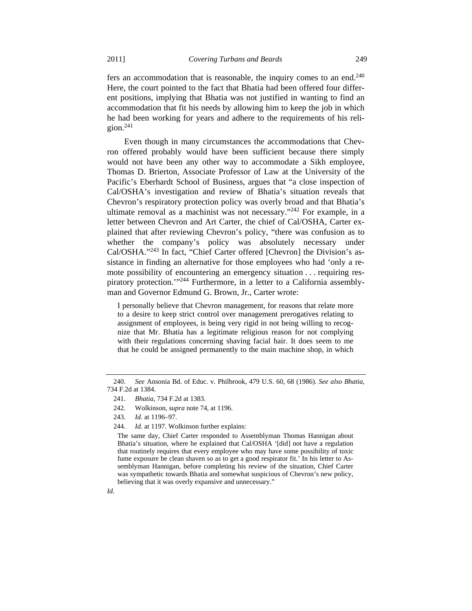fers an accommodation that is reasonable, the inquiry comes to an end.<sup>240</sup> Here, the court pointed to the fact that Bhatia had been offered four different positions, implying that Bhatia was not justified in wanting to find an accommodation that fit his needs by allowing him to keep the job in which he had been working for years and adhere to the requirements of his religion. $241$ 

Even though in many circumstances the accommodations that Chevron offered probably would have been sufficient because there simply would not have been any other way to accommodate a Sikh employee, Thomas D. Brierton, Associate Professor of Law at the University of the Pacific's Eberhardt School of Business, argues that "a close inspection of Cal/OSHA's investigation and review of Bhatia's situation reveals that Chevron's respiratory protection policy was overly broad and that Bhatia's ultimate removal as a machinist was not necessary."242 For example, in a letter between Chevron and Art Carter, the chief of Cal/OSHA, Carter explained that after reviewing Chevron's policy, "there was confusion as to whether the company's policy was absolutely necessary under Cal/OSHA."243 In fact, "Chief Carter offered [Chevron] the Division's assistance in finding an alternative for those employees who had 'only a remote possibility of encountering an emergency situation . . . requiring respiratory protection.'"244 Furthermore, in a letter to a California assemblyman and Governor Edmund G. Brown, Jr., Carter wrote:

I personally believe that Chevron management, for reasons that relate more to a desire to keep strict control over management prerogatives relating to assignment of employees, is being very rigid in not being willing to recognize that Mr. Bhatia has a legitimate religious reason for not complying with their regulations concerning shaving facial hair. It does seem to me that he could be assigned permanently to the main machine shop, in which

*Id.*

 <sup>240.</sup> *See* Ansonia Bd. of Educ. v. Philbrook, 479 U.S. 60, 68 (1986). *See also Bhatia*, 734 F.2d at 1384.

 <sup>241.</sup> *Bhatia*, 734 F.2d at 1383.

 <sup>242.</sup> Wolkinson, *supra* note 74, at 1196.

 <sup>243.</sup> *Id.* at 1196–97.

 <sup>244.</sup> *Id.* at 1197. Wolkinson further explains:

The same day, Chief Carter responded to Assemblyman Thomas Hannigan about Bhatia's situation, where he explained that Cal/OSHA '[did] not have a regulation that routinely requires that every employee who may have some possibility of toxic fume exposure be clean shaven so as to get a good respirator fit.' In his letter to Assemblyman Hannigan, before completing his review of the situation, Chief Carter was sympathetic towards Bhatia and somewhat suspicious of Chevron's new policy, believing that it was overly expansive and unnecessary."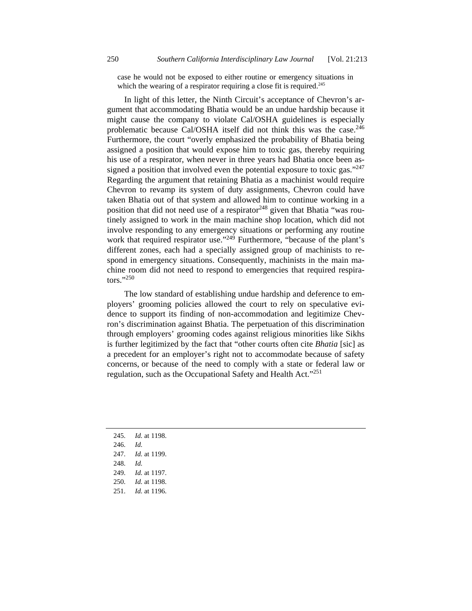case he would not be exposed to either routine or emergency situations in which the wearing of a respirator requiring a close fit is required.<sup>245</sup>

In light of this letter, the Ninth Circuit's acceptance of Chevron's argument that accommodating Bhatia would be an undue hardship because it might cause the company to violate Cal/OSHA guidelines is especially problematic because Cal/OSHA itself did not think this was the case.<sup>246</sup> Furthermore, the court "overly emphasized the probability of Bhatia being assigned a position that would expose him to toxic gas, thereby requiring his use of a respirator, when never in three years had Bhatia once been assigned a position that involved even the potential exposure to toxic gas."<sup>247</sup> Regarding the argument that retaining Bhatia as a machinist would require Chevron to revamp its system of duty assignments, Chevron could have taken Bhatia out of that system and allowed him to continue working in a position that did not need use of a respirator  $248$  given that Bhatia "was routinely assigned to work in the main machine shop location, which did not involve responding to any emergency situations or performing any routine work that required respirator use."<sup>249</sup> Furthermore, "because of the plant's different zones, each had a specially assigned group of machinists to respond in emergency situations. Consequently, machinists in the main machine room did not need to respond to emergencies that required respirators."250

The low standard of establishing undue hardship and deference to employers' grooming policies allowed the court to rely on speculative evidence to support its finding of non-accommodation and legitimize Chevron's discrimination against Bhatia. The perpetuation of this discrimination through employers' grooming codes against religious minorities like Sikhs is further legitimized by the fact that "other courts often cite *Bhatia* [sic] as a precedent for an employer's right not to accommodate because of safety concerns, or because of the need to comply with a state or federal law or regulation, such as the Occupational Safety and Health Act."<sup>251</sup>

- 245. *Id.* at 1198.
- 246. *Id.*
- 247. *Id.* at 1199.
- 248. *Id.*
- 249. *Id.* at 1197.
- 250. *Id.* at 1198.
- 251. *Id.* at 1196.